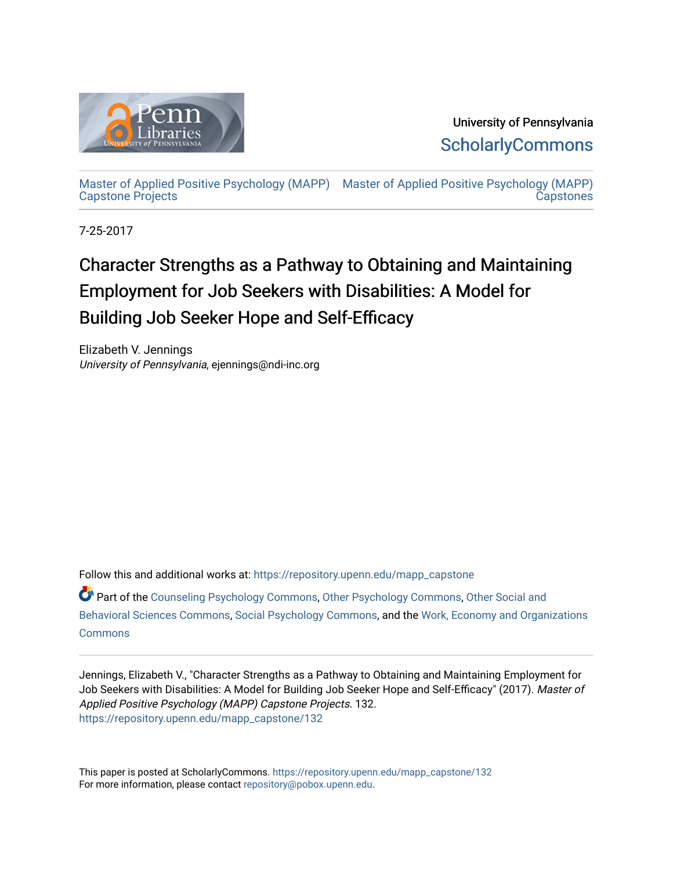

University of Pennsylvania **ScholarlyCommons** 

[Master of Applied Positive Psychology \(MAPP\)](https://repository.upenn.edu/mapp_capstone) [Master of Applied Positive Psychology \(MAPP\)](https://repository.upenn.edu/mapp_capstones)  [Capstone Projects](https://repository.upenn.edu/mapp_capstone)  **Capstones** 

7-25-2017

# Character Strengths as a Pathway to Obtaining and Maintaining Employment for Job Seekers with Disabilities: A Model for Building Job Seeker Hope and Self-Efficacy

Elizabeth V. Jennings University of Pennsylvania, ejennings@ndi-inc.org

Follow this and additional works at: [https://repository.upenn.edu/mapp\\_capstone](https://repository.upenn.edu/mapp_capstone?utm_source=repository.upenn.edu%2Fmapp_capstone%2F132&utm_medium=PDF&utm_campaign=PDFCoverPages) 

Part of the [Counseling Psychology Commons](http://network.bepress.com/hgg/discipline/1044?utm_source=repository.upenn.edu%2Fmapp_capstone%2F132&utm_medium=PDF&utm_campaign=PDFCoverPages), [Other Psychology Commons,](http://network.bepress.com/hgg/discipline/415?utm_source=repository.upenn.edu%2Fmapp_capstone%2F132&utm_medium=PDF&utm_campaign=PDFCoverPages) [Other Social and](http://network.bepress.com/hgg/discipline/437?utm_source=repository.upenn.edu%2Fmapp_capstone%2F132&utm_medium=PDF&utm_campaign=PDFCoverPages) [Behavioral Sciences Commons,](http://network.bepress.com/hgg/discipline/437?utm_source=repository.upenn.edu%2Fmapp_capstone%2F132&utm_medium=PDF&utm_campaign=PDFCoverPages) [Social Psychology Commons](http://network.bepress.com/hgg/discipline/414?utm_source=repository.upenn.edu%2Fmapp_capstone%2F132&utm_medium=PDF&utm_campaign=PDFCoverPages), and the [Work, Economy and Organizations](http://network.bepress.com/hgg/discipline/433?utm_source=repository.upenn.edu%2Fmapp_capstone%2F132&utm_medium=PDF&utm_campaign=PDFCoverPages) [Commons](http://network.bepress.com/hgg/discipline/433?utm_source=repository.upenn.edu%2Fmapp_capstone%2F132&utm_medium=PDF&utm_campaign=PDFCoverPages)

Jennings, Elizabeth V., "Character Strengths as a Pathway to Obtaining and Maintaining Employment for Job Seekers with Disabilities: A Model for Building Job Seeker Hope and Self-Efficacy" (2017). Master of Applied Positive Psychology (MAPP) Capstone Projects. 132. [https://repository.upenn.edu/mapp\\_capstone/132](https://repository.upenn.edu/mapp_capstone/132?utm_source=repository.upenn.edu%2Fmapp_capstone%2F132&utm_medium=PDF&utm_campaign=PDFCoverPages) 

This paper is posted at ScholarlyCommons. [https://repository.upenn.edu/mapp\\_capstone/132](https://repository.upenn.edu/mapp_capstone/132)  For more information, please contact [repository@pobox.upenn.edu.](mailto:repository@pobox.upenn.edu)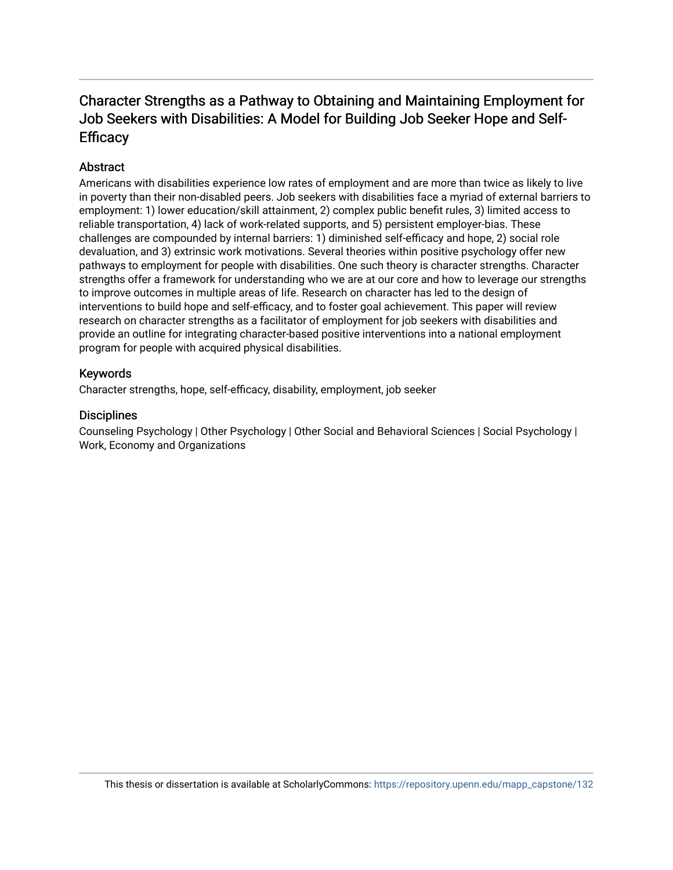## Character Strengths as a Pathway to Obtaining and Maintaining Employment for Job Seekers with Disabilities: A Model for Building Job Seeker Hope and Self-**Efficacy**

## **Abstract**

Americans with disabilities experience low rates of employment and are more than twice as likely to live in poverty than their non-disabled peers. Job seekers with disabilities face a myriad of external barriers to employment: 1) lower education/skill attainment, 2) complex public benefit rules, 3) limited access to reliable transportation, 4) lack of work-related supports, and 5) persistent employer-bias. These challenges are compounded by internal barriers: 1) diminished self-efficacy and hope, 2) social role devaluation, and 3) extrinsic work motivations. Several theories within positive psychology offer new pathways to employment for people with disabilities. One such theory is character strengths. Character strengths offer a framework for understanding who we are at our core and how to leverage our strengths to improve outcomes in multiple areas of life. Research on character has led to the design of interventions to build hope and self-efficacy, and to foster goal achievement. This paper will review research on character strengths as a facilitator of employment for job seekers with disabilities and provide an outline for integrating character-based positive interventions into a national employment program for people with acquired physical disabilities.

### Keywords

Character strengths, hope, self-efficacy, disability, employment, job seeker

### **Disciplines**

Counseling Psychology | Other Psychology | Other Social and Behavioral Sciences | Social Psychology | Work, Economy and Organizations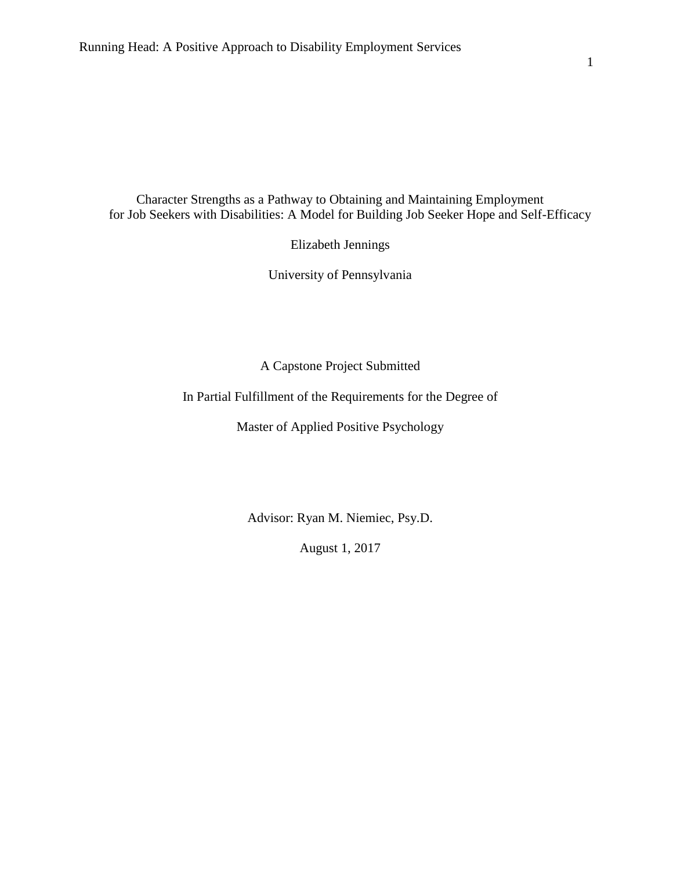Character Strengths as a Pathway to Obtaining and Maintaining Employment for Job Seekers with Disabilities: A Model for Building Job Seeker Hope and Self-Efficacy

Elizabeth Jennings

University of Pennsylvania

A Capstone Project Submitted

In Partial Fulfillment of the Requirements for the Degree of

Master of Applied Positive Psychology

Advisor: Ryan M. Niemiec, Psy.D.

August 1, 2017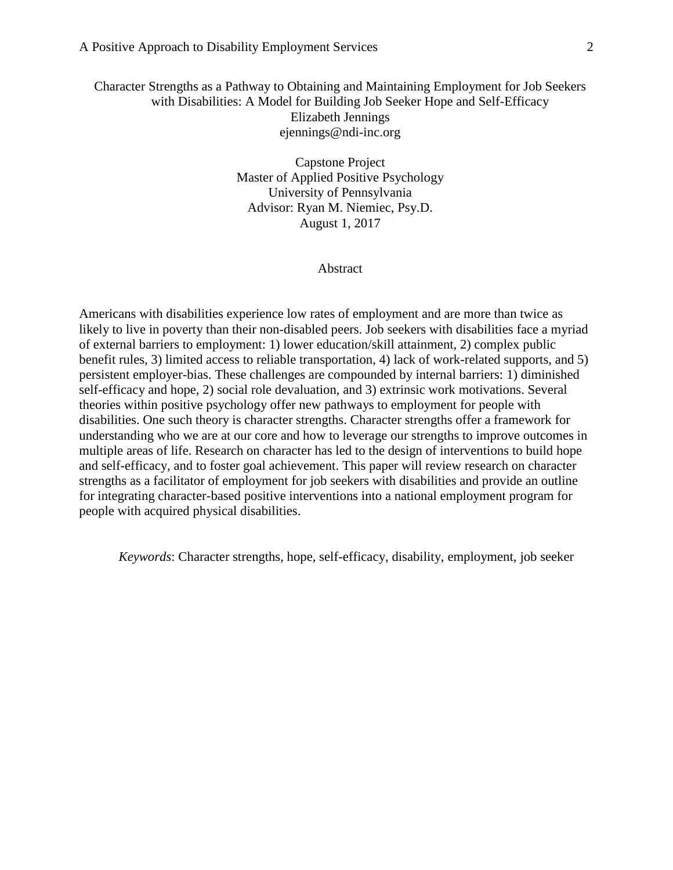Character Strengths as a Pathway to Obtaining and Maintaining Employment for Job Seekers with Disabilities: A Model for Building Job Seeker Hope and Self-Efficacy Elizabeth Jennings ejennings@ndi-inc.org

> Capstone Project Master of Applied Positive Psychology University of Pennsylvania Advisor: Ryan M. Niemiec, Psy.D. August 1, 2017

#### Abstract

Americans with disabilities experience low rates of employment and are more than twice as likely to live in poverty than their non-disabled peers. Job seekers with disabilities face a myriad of external barriers to employment: 1) lower education/skill attainment, 2) complex public benefit rules, 3) limited access to reliable transportation, 4) lack of work-related supports, and 5) persistent employer-bias. These challenges are compounded by internal barriers: 1) diminished self-efficacy and hope, 2) social role devaluation, and 3) extrinsic work motivations. Several theories within positive psychology offer new pathways to employment for people with disabilities. One such theory is character strengths. Character strengths offer a framework for understanding who we are at our core and how to leverage our strengths to improve outcomes in multiple areas of life. Research on character has led to the design of interventions to build hope and self-efficacy, and to foster goal achievement. This paper will review research on character strengths as a facilitator of employment for job seekers with disabilities and provide an outline for integrating character-based positive interventions into a national employment program for people with acquired physical disabilities.

*Keywords*: Character strengths, hope, self-efficacy, disability, employment, job seeker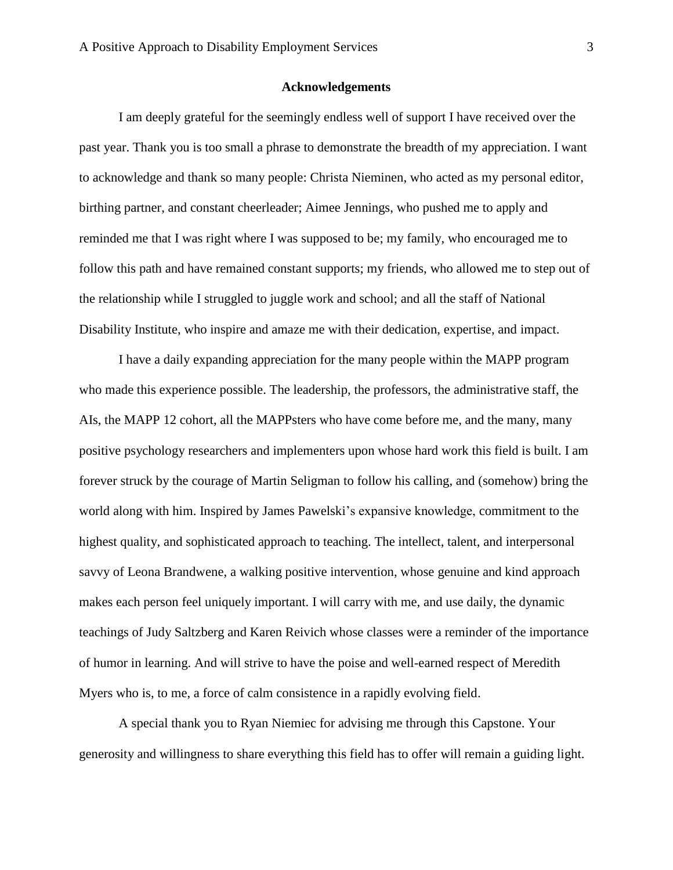#### **Acknowledgements**

I am deeply grateful for the seemingly endless well of support I have received over the past year. Thank you is too small a phrase to demonstrate the breadth of my appreciation. I want to acknowledge and thank so many people: Christa Nieminen, who acted as my personal editor, birthing partner, and constant cheerleader; Aimee Jennings, who pushed me to apply and reminded me that I was right where I was supposed to be; my family, who encouraged me to follow this path and have remained constant supports; my friends, who allowed me to step out of the relationship while I struggled to juggle work and school; and all the staff of National Disability Institute, who inspire and amaze me with their dedication, expertise, and impact.

I have a daily expanding appreciation for the many people within the MAPP program who made this experience possible. The leadership, the professors, the administrative staff, the AIs, the MAPP 12 cohort, all the MAPPsters who have come before me, and the many, many positive psychology researchers and implementers upon whose hard work this field is built. I am forever struck by the courage of Martin Seligman to follow his calling, and (somehow) bring the world along with him. Inspired by James Pawelski's expansive knowledge, commitment to the highest quality, and sophisticated approach to teaching. The intellect, talent, and interpersonal savvy of Leona Brandwene, a walking positive intervention, whose genuine and kind approach makes each person feel uniquely important. I will carry with me, and use daily, the dynamic teachings of Judy Saltzberg and Karen Reivich whose classes were a reminder of the importance of humor in learning. And will strive to have the poise and well-earned respect of Meredith Myers who is, to me, a force of calm consistence in a rapidly evolving field.

A special thank you to Ryan Niemiec for advising me through this Capstone. Your generosity and willingness to share everything this field has to offer will remain a guiding light.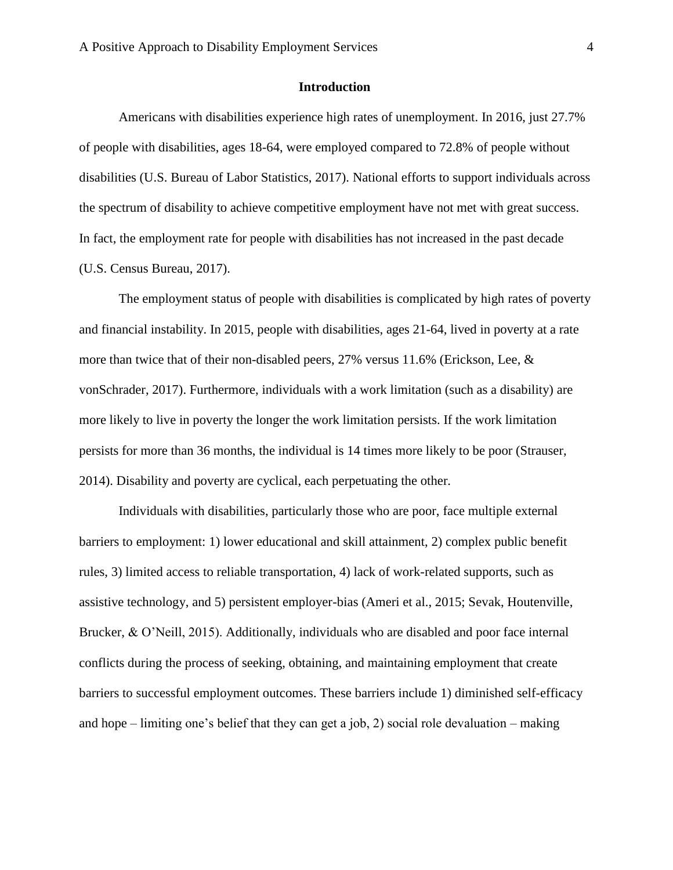#### **Introduction**

Americans with disabilities experience high rates of unemployment. In 2016, just 27.7% of people with disabilities, ages 18-64, were employed compared to 72.8% of people without disabilities (U.S. Bureau of Labor Statistics, 2017). National efforts to support individuals across the spectrum of disability to achieve competitive employment have not met with great success. In fact, the employment rate for people with disabilities has not increased in the past decade (U.S. Census Bureau, 2017).

The employment status of people with disabilities is complicated by high rates of poverty and financial instability. In 2015, people with disabilities, ages 21-64, lived in poverty at a rate more than twice that of their non-disabled peers, 27% versus 11.6% (Erickson, Lee, & vonSchrader, 2017). Furthermore, individuals with a work limitation (such as a disability) are more likely to live in poverty the longer the work limitation persists. If the work limitation persists for more than 36 months, the individual is 14 times more likely to be poor (Strauser, 2014). Disability and poverty are cyclical, each perpetuating the other.

Individuals with disabilities, particularly those who are poor, face multiple external barriers to employment: 1) lower educational and skill attainment, 2) complex public benefit rules, 3) limited access to reliable transportation, 4) lack of work-related supports, such as assistive technology, and 5) persistent employer-bias (Ameri et al., 2015; Sevak, Houtenville, Brucker, & O'Neill, 2015). Additionally, individuals who are disabled and poor face internal conflicts during the process of seeking, obtaining, and maintaining employment that create barriers to successful employment outcomes. These barriers include 1) diminished self-efficacy and hope – limiting one's belief that they can get a job, 2) social role devaluation – making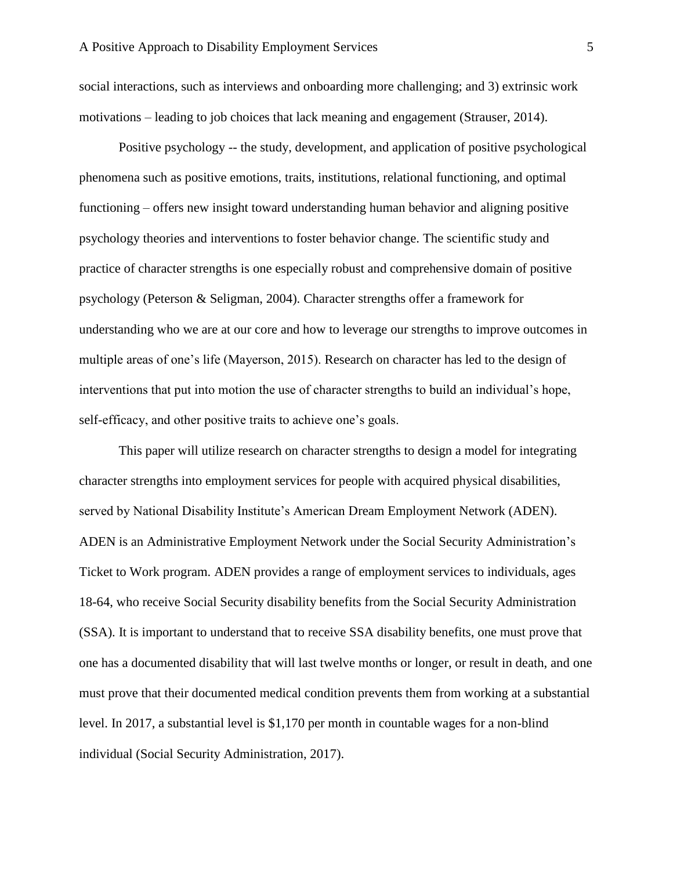social interactions, such as interviews and onboarding more challenging; and 3) extrinsic work motivations – leading to job choices that lack meaning and engagement (Strauser, 2014).

Positive psychology -- the study, development, and application of positive psychological phenomena such as positive emotions, traits, institutions, relational functioning, and optimal functioning – offers new insight toward understanding human behavior and aligning positive psychology theories and interventions to foster behavior change. The scientific study and practice of character strengths is one especially robust and comprehensive domain of positive psychology (Peterson & Seligman, 2004). Character strengths offer a framework for understanding who we are at our core and how to leverage our strengths to improve outcomes in multiple areas of one's life (Mayerson, 2015). Research on character has led to the design of interventions that put into motion the use of character strengths to build an individual's hope, self-efficacy, and other positive traits to achieve one's goals.

This paper will utilize research on character strengths to design a model for integrating character strengths into employment services for people with acquired physical disabilities, served by National Disability Institute's American Dream Employment Network (ADEN). ADEN is an Administrative Employment Network under the Social Security Administration's Ticket to Work program. ADEN provides a range of employment services to individuals, ages 18-64, who receive Social Security disability benefits from the Social Security Administration (SSA). It is important to understand that to receive SSA disability benefits, one must prove that one has a documented disability that will last twelve months or longer, or result in death, and one must prove that their documented medical condition prevents them from working at a substantial level. In 2017, a substantial level is \$1,170 per month in countable wages for a non-blind individual (Social Security Administration, 2017).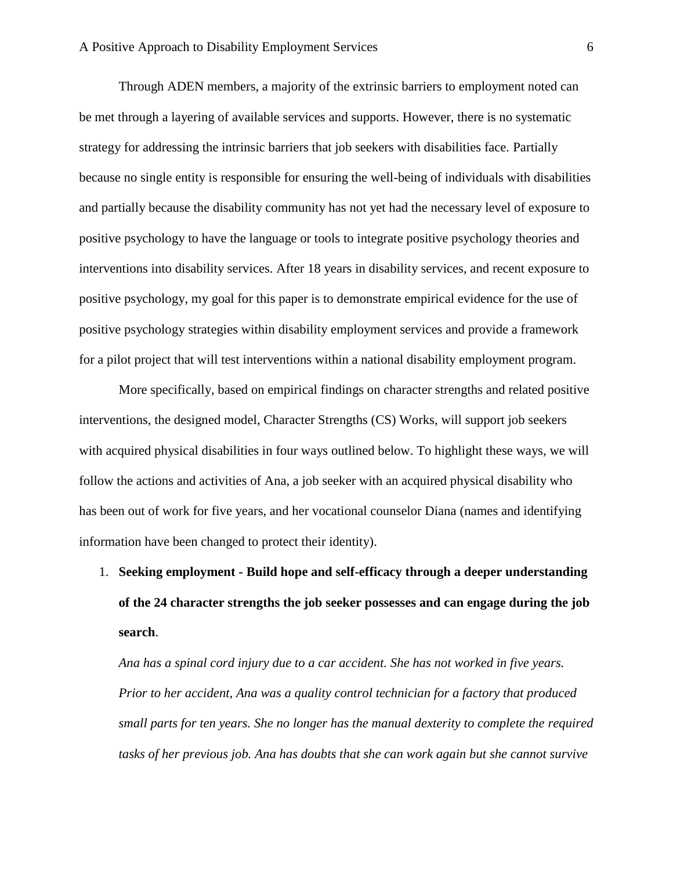Through ADEN members, a majority of the extrinsic barriers to employment noted can be met through a layering of available services and supports. However, there is no systematic strategy for addressing the intrinsic barriers that job seekers with disabilities face. Partially because no single entity is responsible for ensuring the well-being of individuals with disabilities and partially because the disability community has not yet had the necessary level of exposure to positive psychology to have the language or tools to integrate positive psychology theories and interventions into disability services. After 18 years in disability services, and recent exposure to positive psychology, my goal for this paper is to demonstrate empirical evidence for the use of positive psychology strategies within disability employment services and provide a framework for a pilot project that will test interventions within a national disability employment program.

More specifically, based on empirical findings on character strengths and related positive interventions, the designed model, Character Strengths (CS) Works, will support job seekers with acquired physical disabilities in four ways outlined below. To highlight these ways, we will follow the actions and activities of Ana, a job seeker with an acquired physical disability who has been out of work for five years, and her vocational counselor Diana (names and identifying information have been changed to protect their identity).

1. **Seeking employment - Build hope and self-efficacy through a deeper understanding of the 24 character strengths the job seeker possesses and can engage during the job search**.

*Ana has a spinal cord injury due to a car accident. She has not worked in five years. Prior to her accident, Ana was a quality control technician for a factory that produced small parts for ten years. She no longer has the manual dexterity to complete the required tasks of her previous job. Ana has doubts that she can work again but she cannot survive*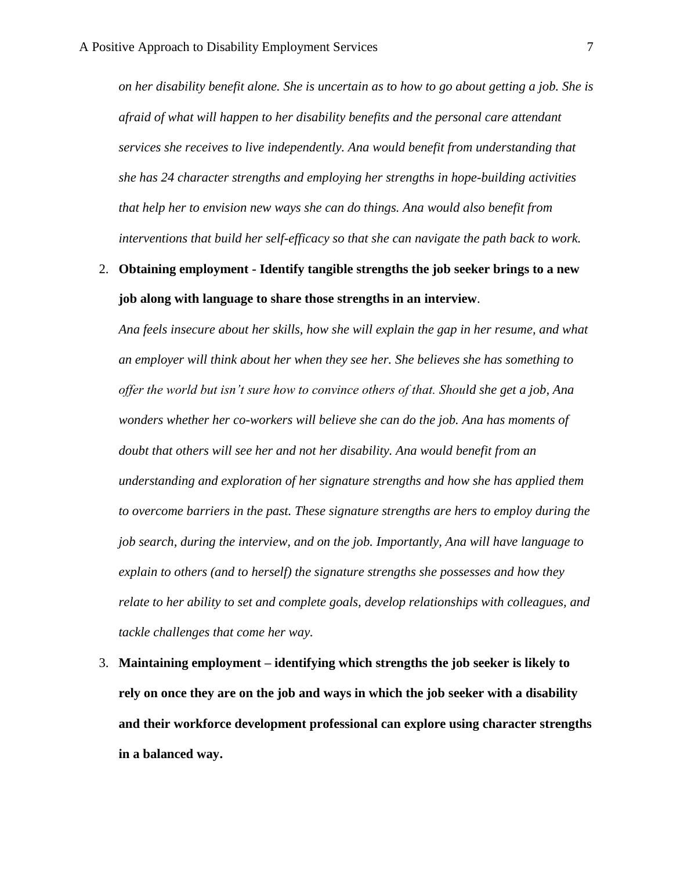*on her disability benefit alone. She is uncertain as to how to go about getting a job. She is afraid of what will happen to her disability benefits and the personal care attendant services she receives to live independently. Ana would benefit from understanding that she has 24 character strengths and employing her strengths in hope-building activities that help her to envision new ways she can do things. Ana would also benefit from interventions that build her self-efficacy so that she can navigate the path back to work.*

## 2. **Obtaining employment - Identify tangible strengths the job seeker brings to a new job along with language to share those strengths in an interview**.

*Ana feels insecure about her skills, how she will explain the gap in her resume, and what an employer will think about her when they see her. She believes she has something to offer the world but isn't sure how to convince others of that. Should she get a job, Ana wonders whether her co-workers will believe she can do the job. Ana has moments of doubt that others will see her and not her disability. Ana would benefit from an understanding and exploration of her signature strengths and how she has applied them to overcome barriers in the past. These signature strengths are hers to employ during the job search, during the interview, and on the job. Importantly, Ana will have language to explain to others (and to herself) the signature strengths she possesses and how they relate to her ability to set and complete goals, develop relationships with colleagues, and tackle challenges that come her way.*

3. **Maintaining employment – identifying which strengths the job seeker is likely to rely on once they are on the job and ways in which the job seeker with a disability and their workforce development professional can explore using character strengths in a balanced way.**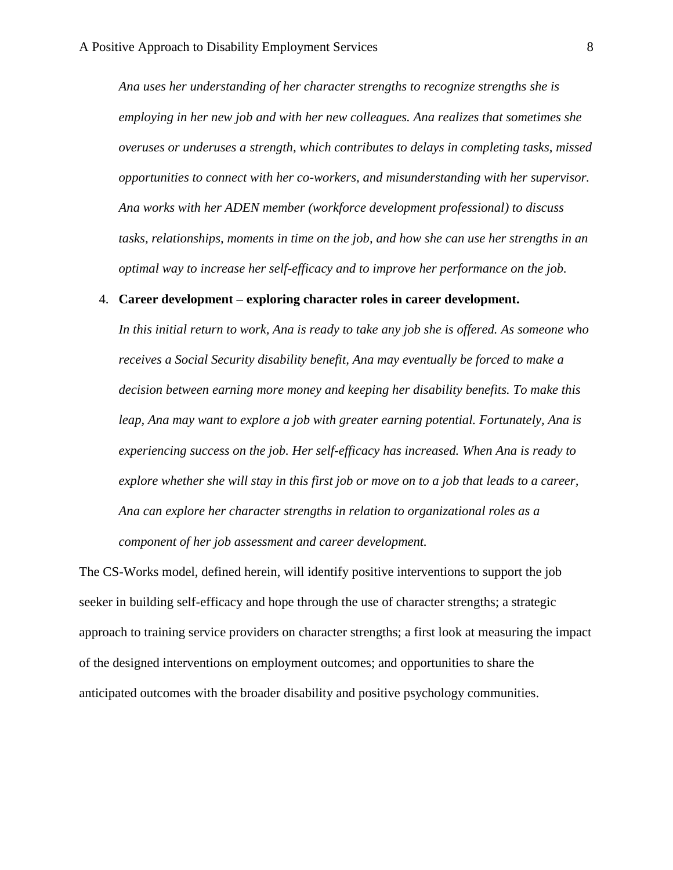*Ana uses her understanding of her character strengths to recognize strengths she is employing in her new job and with her new colleagues. Ana realizes that sometimes she overuses or underuses a strength, which contributes to delays in completing tasks, missed opportunities to connect with her co-workers, and misunderstanding with her supervisor. Ana works with her ADEN member (workforce development professional) to discuss tasks, relationships, moments in time on the job, and how she can use her strengths in an optimal way to increase her self-efficacy and to improve her performance on the job.*

#### 4. **Career development – exploring character roles in career development.**

*In this initial return to work, Ana is ready to take any job she is offered. As someone who receives a Social Security disability benefit, Ana may eventually be forced to make a decision between earning more money and keeping her disability benefits. To make this leap, Ana may want to explore a job with greater earning potential. Fortunately, Ana is experiencing success on the job. Her self-efficacy has increased. When Ana is ready to explore whether she will stay in this first job or move on to a job that leads to a career, Ana can explore her character strengths in relation to organizational roles as a component of her job assessment and career development.*

The CS-Works model, defined herein, will identify positive interventions to support the job seeker in building self-efficacy and hope through the use of character strengths; a strategic approach to training service providers on character strengths; a first look at measuring the impact of the designed interventions on employment outcomes; and opportunities to share the anticipated outcomes with the broader disability and positive psychology communities.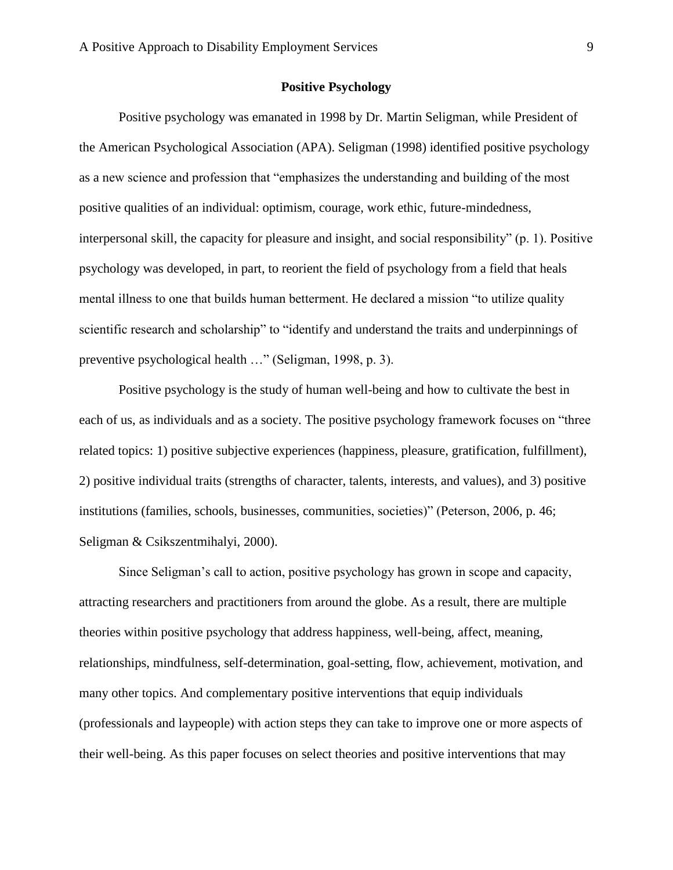#### **Positive Psychology**

Positive psychology was emanated in 1998 by Dr. Martin Seligman, while President of the American Psychological Association (APA). Seligman (1998) identified positive psychology as a new science and profession that "emphasizes the understanding and building of the most positive qualities of an individual: optimism, courage, work ethic, future-mindedness, interpersonal skill, the capacity for pleasure and insight, and social responsibility" (p. 1). Positive psychology was developed, in part, to reorient the field of psychology from a field that heals mental illness to one that builds human betterment. He declared a mission "to utilize quality scientific research and scholarship" to "identify and understand the traits and underpinnings of preventive psychological health …" (Seligman, 1998, p. 3).

Positive psychology is the study of human well-being and how to cultivate the best in each of us, as individuals and as a society. The positive psychology framework focuses on "three related topics: 1) positive subjective experiences (happiness, pleasure, gratification, fulfillment), 2) positive individual traits (strengths of character, talents, interests, and values), and 3) positive institutions (families, schools, businesses, communities, societies)" (Peterson, 2006, p. 46; Seligman & Csikszentmihalyi, 2000).

Since Seligman's call to action, positive psychology has grown in scope and capacity, attracting researchers and practitioners from around the globe. As a result, there are multiple theories within positive psychology that address happiness, well-being, affect, meaning, relationships, mindfulness, self-determination, goal-setting, flow, achievement, motivation, and many other topics. And complementary positive interventions that equip individuals (professionals and laypeople) with action steps they can take to improve one or more aspects of their well-being. As this paper focuses on select theories and positive interventions that may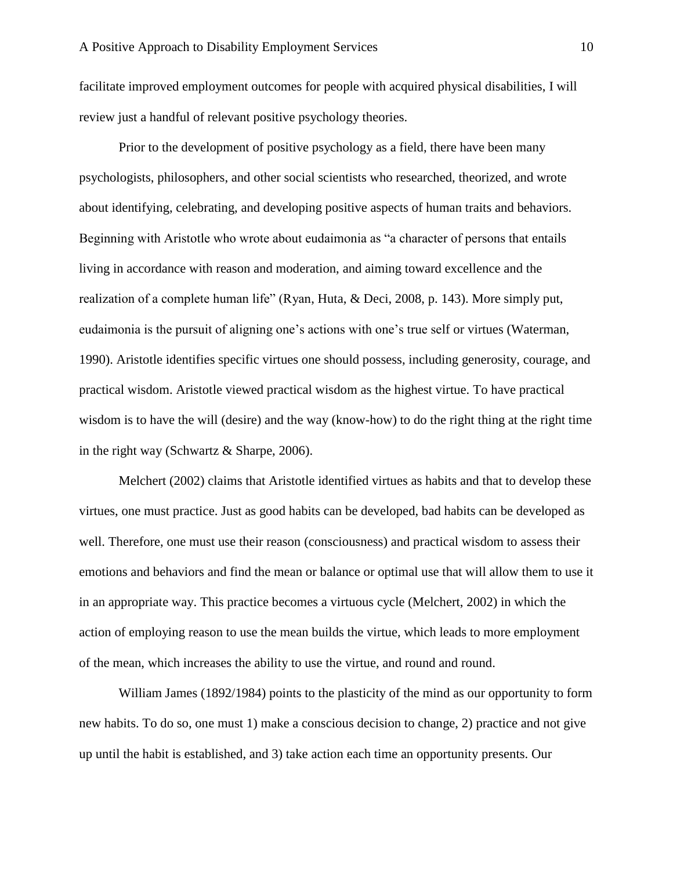facilitate improved employment outcomes for people with acquired physical disabilities, I will review just a handful of relevant positive psychology theories.

Prior to the development of positive psychology as a field, there have been many psychologists, philosophers, and other social scientists who researched, theorized, and wrote about identifying, celebrating, and developing positive aspects of human traits and behaviors. Beginning with Aristotle who wrote about eudaimonia as "a character of persons that entails living in accordance with reason and moderation, and aiming toward excellence and the realization of a complete human life" (Ryan, Huta, & Deci, 2008, p. 143). More simply put, eudaimonia is the pursuit of aligning one's actions with one's true self or virtues (Waterman, 1990). Aristotle identifies specific virtues one should possess, including generosity, courage, and practical wisdom. Aristotle viewed practical wisdom as the highest virtue. To have practical wisdom is to have the will (desire) and the way (know-how) to do the right thing at the right time in the right way (Schwartz & Sharpe, 2006).

Melchert (2002) claims that Aristotle identified virtues as habits and that to develop these virtues, one must practice. Just as good habits can be developed, bad habits can be developed as well. Therefore, one must use their reason (consciousness) and practical wisdom to assess their emotions and behaviors and find the mean or balance or optimal use that will allow them to use it in an appropriate way. This practice becomes a virtuous cycle (Melchert, 2002) in which the action of employing reason to use the mean builds the virtue, which leads to more employment of the mean, which increases the ability to use the virtue, and round and round.

William James (1892/1984) points to the plasticity of the mind as our opportunity to form new habits. To do so, one must 1) make a conscious decision to change, 2) practice and not give up until the habit is established, and 3) take action each time an opportunity presents. Our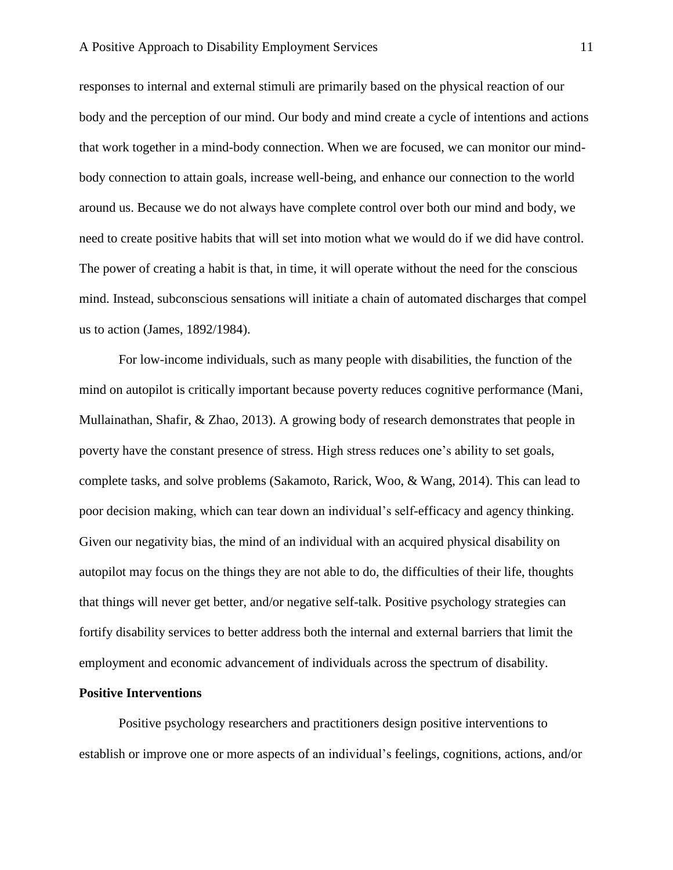responses to internal and external stimuli are primarily based on the physical reaction of our body and the perception of our mind. Our body and mind create a cycle of intentions and actions that work together in a mind-body connection. When we are focused, we can monitor our mindbody connection to attain goals, increase well-being, and enhance our connection to the world around us. Because we do not always have complete control over both our mind and body, we need to create positive habits that will set into motion what we would do if we did have control. The power of creating a habit is that, in time, it will operate without the need for the conscious mind. Instead, subconscious sensations will initiate a chain of automated discharges that compel us to action (James, 1892/1984).

For low-income individuals, such as many people with disabilities, the function of the mind on autopilot is critically important because poverty reduces cognitive performance (Mani, Mullainathan, Shafir, & Zhao, 2013). A growing body of research demonstrates that people in poverty have the constant presence of stress. High stress reduces one's ability to set goals, complete tasks, and solve problems (Sakamoto, Rarick, Woo, & Wang, 2014). This can lead to poor decision making, which can tear down an individual's self-efficacy and agency thinking. Given our negativity bias, the mind of an individual with an acquired physical disability on autopilot may focus on the things they are not able to do, the difficulties of their life, thoughts that things will never get better, and/or negative self-talk. Positive psychology strategies can fortify disability services to better address both the internal and external barriers that limit the employment and economic advancement of individuals across the spectrum of disability.

#### **Positive Interventions**

Positive psychology researchers and practitioners design positive interventions to establish or improve one or more aspects of an individual's feelings, cognitions, actions, and/or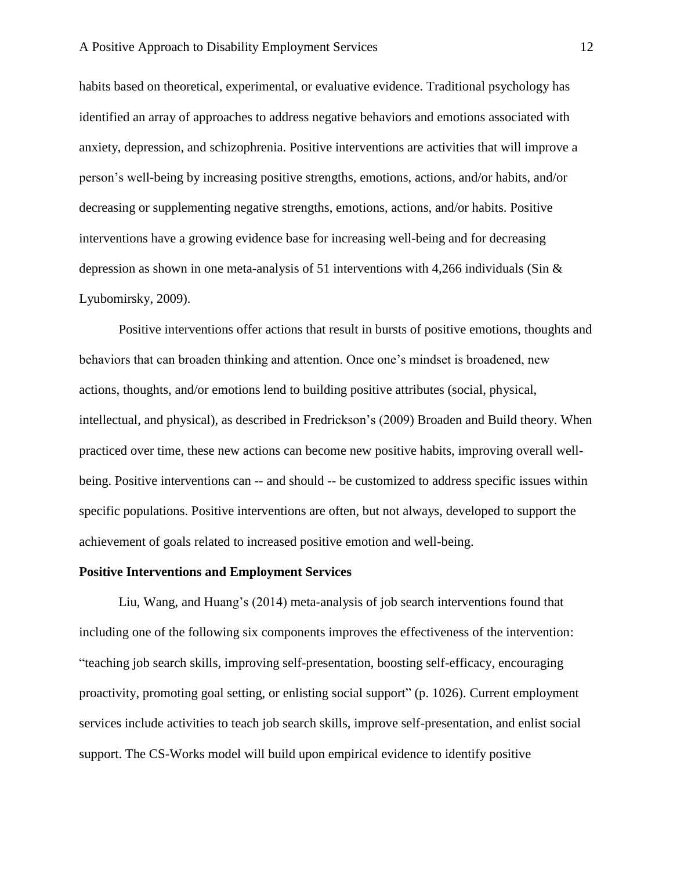habits based on theoretical, experimental, or evaluative evidence. Traditional psychology has identified an array of approaches to address negative behaviors and emotions associated with anxiety, depression, and schizophrenia. Positive interventions are activities that will improve a person's well-being by increasing positive strengths, emotions, actions, and/or habits, and/or decreasing or supplementing negative strengths, emotions, actions, and/or habits. Positive interventions have a growing evidence base for increasing well-being and for decreasing depression as shown in one meta-analysis of 51 interventions with 4,266 individuals (Sin & Lyubomirsky, 2009).

Positive interventions offer actions that result in bursts of positive emotions, thoughts and behaviors that can broaden thinking and attention. Once one's mindset is broadened, new actions, thoughts, and/or emotions lend to building positive attributes (social, physical, intellectual, and physical), as described in Fredrickson's (2009) Broaden and Build theory. When practiced over time, these new actions can become new positive habits, improving overall wellbeing. Positive interventions can -- and should -- be customized to address specific issues within specific populations. Positive interventions are often, but not always, developed to support the achievement of goals related to increased positive emotion and well-being.

#### **Positive Interventions and Employment Services**

Liu, Wang, and Huang's (2014) meta-analysis of job search interventions found that including one of the following six components improves the effectiveness of the intervention: "teaching job search skills, improving self-presentation, boosting self-efficacy, encouraging proactivity, promoting goal setting, or enlisting social support" (p. 1026). Current employment services include activities to teach job search skills, improve self-presentation, and enlist social support. The CS-Works model will build upon empirical evidence to identify positive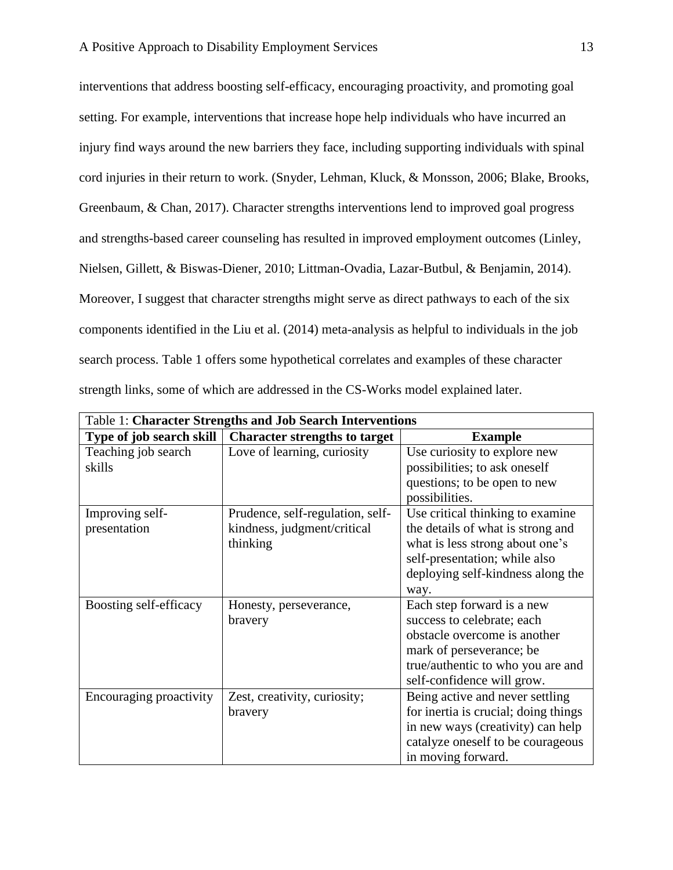interventions that address boosting self-efficacy, encouraging proactivity, and promoting goal setting. For example, interventions that increase hope help individuals who have incurred an injury find ways around the new barriers they face, including supporting individuals with spinal cord injuries in their return to work. (Snyder, Lehman, Kluck, & Monsson, 2006; Blake, Brooks, Greenbaum, & Chan, 2017). Character strengths interventions lend to improved goal progress and strengths-based career counseling has resulted in improved employment outcomes (Linley, Nielsen, Gillett, & Biswas-Diener, 2010; Littman-Ovadia, Lazar-Butbul, & Benjamin, 2014). Moreover, I suggest that character strengths might serve as direct pathways to each of the six components identified in the Liu et al. (2014) meta-analysis as helpful to individuals in the job search process. Table 1 offers some hypothetical correlates and examples of these character strength links, some of which are addressed in the CS-Works model explained later.

| Table 1: Character Strengths and Job Search Interventions |                                      |                                      |
|-----------------------------------------------------------|--------------------------------------|--------------------------------------|
| Type of job search skill                                  | <b>Character strengths to target</b> | <b>Example</b>                       |
| Teaching job search                                       | Love of learning, curiosity          | Use curiosity to explore new         |
| skills                                                    |                                      | possibilities; to ask oneself        |
|                                                           |                                      | questions; to be open to new         |
|                                                           |                                      | possibilities.                       |
| Improving self-                                           | Prudence, self-regulation, self-     | Use critical thinking to examine     |
| presentation                                              | kindness, judgment/critical          | the details of what is strong and    |
|                                                           | thinking                             | what is less strong about one's      |
|                                                           |                                      | self-presentation; while also        |
|                                                           |                                      | deploying self-kindness along the    |
|                                                           |                                      | way.                                 |
| Boosting self-efficacy                                    | Honesty, perseverance,               | Each step forward is a new           |
|                                                           | bravery                              | success to celebrate; each           |
|                                                           |                                      | obstacle overcome is another         |
|                                                           |                                      | mark of perseverance; be             |
|                                                           |                                      | true/authentic to who you are and    |
|                                                           |                                      | self-confidence will grow.           |
| Encouraging proactivity                                   | Zest, creativity, curiosity;         | Being active and never settling      |
|                                                           | bravery                              | for inertia is crucial; doing things |
|                                                           |                                      | in new ways (creativity) can help    |
|                                                           |                                      | catalyze oneself to be courageous    |
|                                                           |                                      | in moving forward.                   |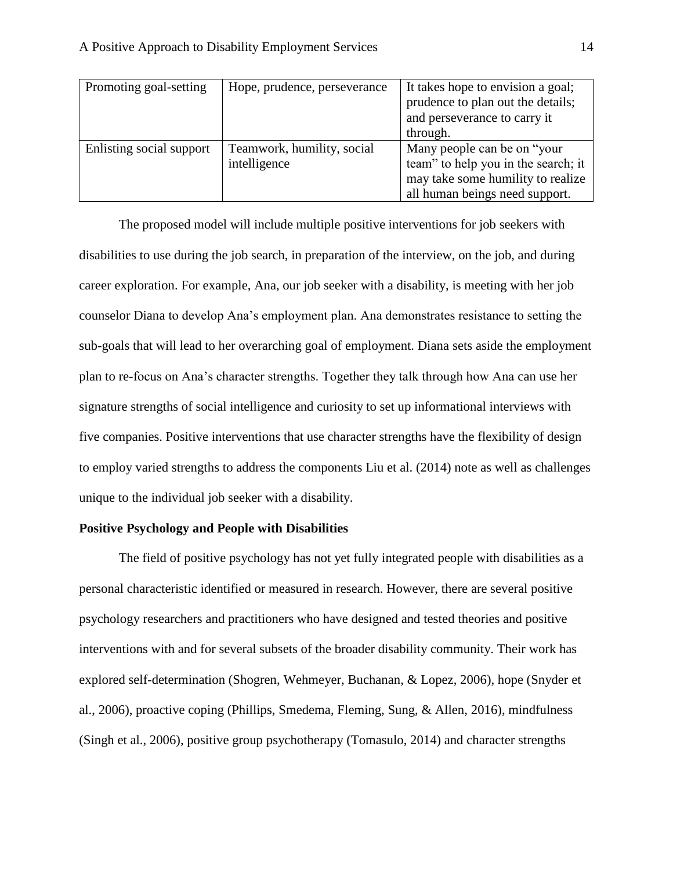| Promoting goal-setting   | Hope, prudence, perseverance | It takes hope to envision a goal;   |
|--------------------------|------------------------------|-------------------------------------|
|                          |                              | prudence to plan out the details;   |
|                          |                              | and perseverance to carry it        |
|                          |                              | through.                            |
| Enlisting social support | Teamwork, humility, social   | Many people can be on "your"        |
|                          | intelligence                 | team" to help you in the search; it |
|                          |                              | may take some humility to realize   |
|                          |                              | all human beings need support.      |

The proposed model will include multiple positive interventions for job seekers with disabilities to use during the job search, in preparation of the interview, on the job, and during career exploration. For example, Ana, our job seeker with a disability, is meeting with her job counselor Diana to develop Ana's employment plan. Ana demonstrates resistance to setting the sub-goals that will lead to her overarching goal of employment. Diana sets aside the employment plan to re-focus on Ana's character strengths. Together they talk through how Ana can use her signature strengths of social intelligence and curiosity to set up informational interviews with five companies. Positive interventions that use character strengths have the flexibility of design to employ varied strengths to address the components Liu et al. (2014) note as well as challenges unique to the individual job seeker with a disability.

#### **Positive Psychology and People with Disabilities**

The field of positive psychology has not yet fully integrated people with disabilities as a personal characteristic identified or measured in research. However, there are several positive psychology researchers and practitioners who have designed and tested theories and positive interventions with and for several subsets of the broader disability community. Their work has explored self-determination (Shogren, Wehmeyer, Buchanan, & Lopez, 2006), hope (Snyder et al., 2006), proactive coping (Phillips, Smedema, Fleming, Sung, & Allen, 2016), mindfulness (Singh et al., 2006), positive group psychotherapy (Tomasulo, 2014) and character strengths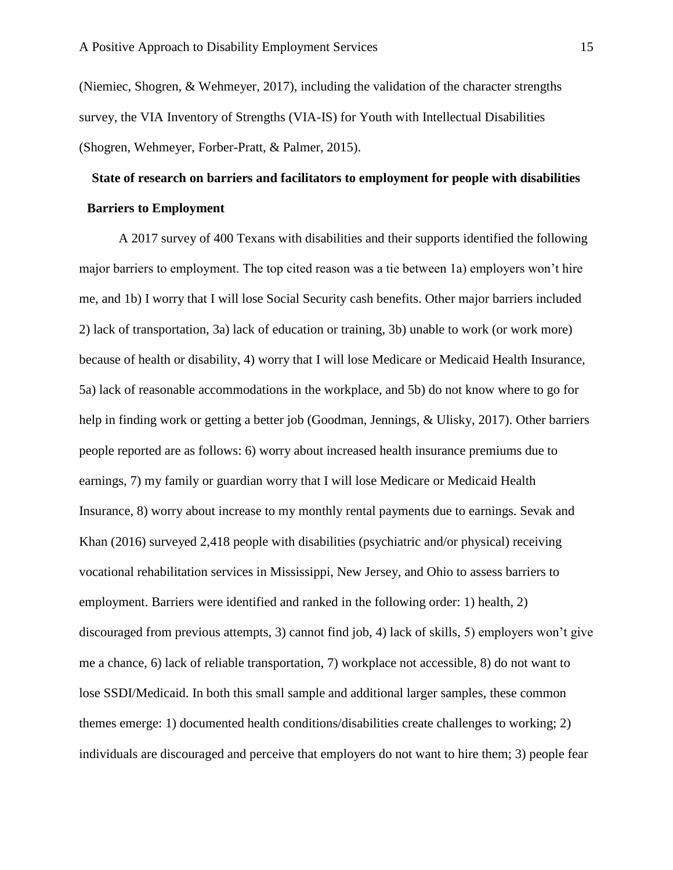(Niemiec, Shogren, & Wehmeyer, 2017), including the validation of the character strengths survey, the VIA Inventory of Strengths (VIA-IS) for Youth with Intellectual Disabilities (Shogren, Wehmeyer, Forber-Pratt, & Palmer, 2015).

## **State of research on barriers and facilitators to employment for people with disabilities Barriers to Employment**

A 2017 survey of 400 Texans with disabilities and their supports identified the following major barriers to employment. The top cited reason was a tie between 1a) employers won't hire me, and 1b) I worry that I will lose Social Security cash benefits. Other major barriers included 2) lack of transportation, 3a) lack of education or training, 3b) unable to work (or work more) because of health or disability, 4) worry that I will lose Medicare or Medicaid Health Insurance, 5a) lack of reasonable accommodations in the workplace, and 5b) do not know where to go for help in finding work or getting a better job (Goodman, Jennings, & Ulisky, 2017). Other barriers people reported are as follows: 6) worry about increased health insurance premiums due to earnings, 7) my family or guardian worry that I will lose Medicare or Medicaid Health Insurance, 8) worry about increase to my monthly rental payments due to earnings. Sevak and Khan (2016) surveyed 2,418 people with disabilities (psychiatric and/or physical) receiving vocational rehabilitation services in Mississippi, New Jersey, and Ohio to assess barriers to employment. Barriers were identified and ranked in the following order: 1) health, 2) discouraged from previous attempts, 3) cannot find job, 4) lack of skills, 5) employers won't give me a chance, 6) lack of reliable transportation, 7) workplace not accessible, 8) do not want to lose SSDI/Medicaid. In both this small sample and additional larger samples, these common themes emerge: 1) documented health conditions/disabilities create challenges to working; 2) individuals are discouraged and perceive that employers do not want to hire them; 3) people fear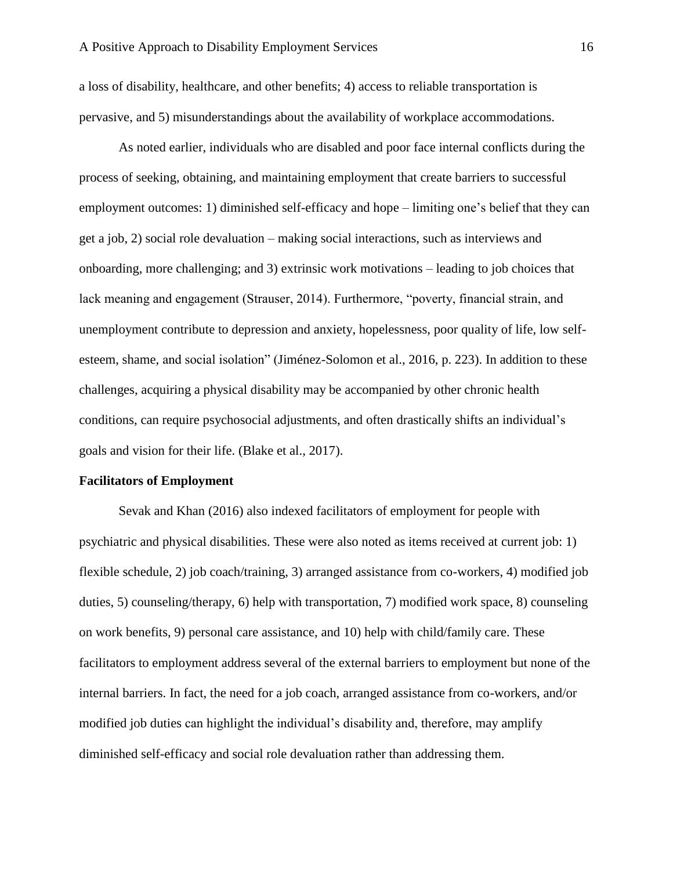a loss of disability, healthcare, and other benefits; 4) access to reliable transportation is pervasive, and 5) misunderstandings about the availability of workplace accommodations.

As noted earlier, individuals who are disabled and poor face internal conflicts during the process of seeking, obtaining, and maintaining employment that create barriers to successful employment outcomes: 1) diminished self-efficacy and hope – limiting one's belief that they can get a job, 2) social role devaluation – making social interactions, such as interviews and onboarding, more challenging; and 3) extrinsic work motivations – leading to job choices that lack meaning and engagement (Strauser, 2014). Furthermore, "poverty, financial strain, and unemployment contribute to depression and anxiety, hopelessness, poor quality of life, low selfesteem, shame, and social isolation" (Jiménez-Solomon et al., 2016, p. 223). In addition to these challenges, acquiring a physical disability may be accompanied by other chronic health conditions, can require psychosocial adjustments, and often drastically shifts an individual's goals and vision for their life. (Blake et al., 2017).

#### **Facilitators of Employment**

Sevak and Khan (2016) also indexed facilitators of employment for people with psychiatric and physical disabilities. These were also noted as items received at current job: 1) flexible schedule, 2) job coach/training, 3) arranged assistance from co-workers, 4) modified job duties, 5) counseling/therapy, 6) help with transportation, 7) modified work space, 8) counseling on work benefits, 9) personal care assistance, and 10) help with child/family care. These facilitators to employment address several of the external barriers to employment but none of the internal barriers. In fact, the need for a job coach, arranged assistance from co-workers, and/or modified job duties can highlight the individual's disability and, therefore, may amplify diminished self-efficacy and social role devaluation rather than addressing them.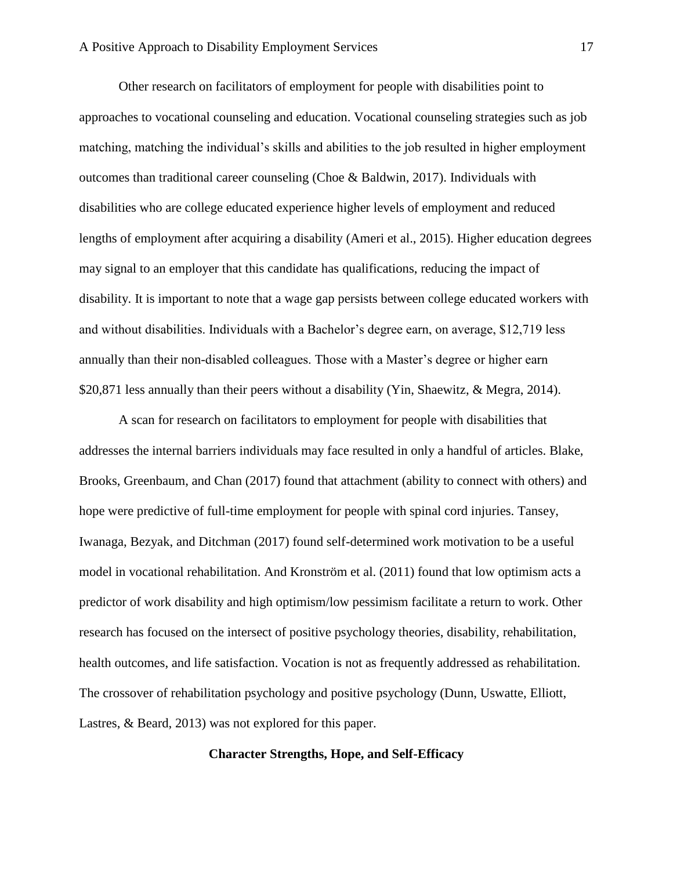Other research on facilitators of employment for people with disabilities point to approaches to vocational counseling and education. Vocational counseling strategies such as job matching, matching the individual's skills and abilities to the job resulted in higher employment outcomes than traditional career counseling (Choe & Baldwin, 2017). Individuals with disabilities who are college educated experience higher levels of employment and reduced lengths of employment after acquiring a disability (Ameri et al., 2015). Higher education degrees may signal to an employer that this candidate has qualifications, reducing the impact of disability. It is important to note that a wage gap persists between college educated workers with and without disabilities. Individuals with a Bachelor's degree earn, on average, \$12,719 less annually than their non-disabled colleagues. Those with a Master's degree or higher earn \$20,871 less annually than their peers without a disability (Yin, Shaewitz, & Megra, 2014).

A scan for research on facilitators to employment for people with disabilities that addresses the internal barriers individuals may face resulted in only a handful of articles. Blake, Brooks, Greenbaum, and Chan (2017) found that attachment (ability to connect with others) and hope were predictive of full-time employment for people with spinal cord injuries. Tansey, Iwanaga, Bezyak, and Ditchman (2017) found self-determined work motivation to be a useful model in vocational rehabilitation. And Kronström et al. (2011) found that low optimism acts a predictor of work disability and high optimism/low pessimism facilitate a return to work. Other research has focused on the intersect of positive psychology theories, disability, rehabilitation, health outcomes, and life satisfaction. Vocation is not as frequently addressed as rehabilitation. The crossover of rehabilitation psychology and positive psychology (Dunn, Uswatte, Elliott, Lastres, & Beard, 2013) was not explored for this paper.

#### **Character Strengths, Hope, and Self-Efficacy**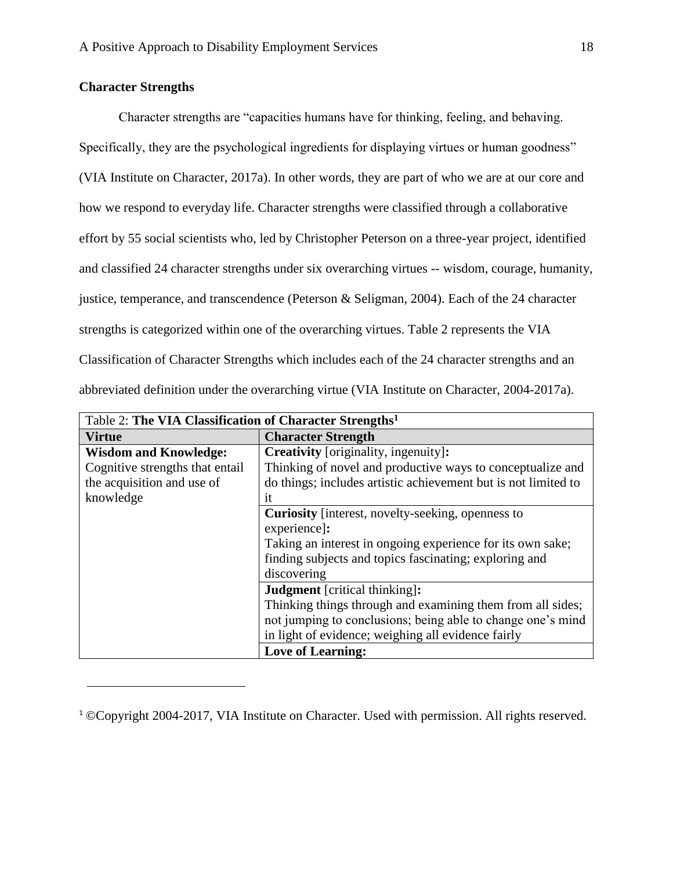## **Character Strengths**

l

Character strengths are "capacities humans have for thinking, feeling, and behaving. Specifically, they are the psychological ingredients for displaying virtues or human goodness" (VIA Institute on Character, 2017a). In other words, they are part of who we are at our core and how we respond to everyday life. Character strengths were classified through a collaborative effort by 55 social scientists who, led by Christopher Peterson on a three-year project, identified and classified 24 character strengths under six overarching virtues -- wisdom, courage, humanity, justice, temperance, and transcendence (Peterson & Seligman, 2004). Each of the 24 character strengths is categorized within one of the overarching virtues. Table 2 represents the VIA Classification of Character Strengths which includes each of the 24 character strengths and an abbreviated definition under the overarching virtue (VIA Institute on Character, 2004-2017a).

| Table 2: The VIA Classification of Character Strengths <sup>1</sup> |                                                                |
|---------------------------------------------------------------------|----------------------------------------------------------------|
| <b>Virtue</b>                                                       | <b>Character Strength</b>                                      |
| <b>Wisdom and Knowledge:</b>                                        | <b>Creativity</b> [originality, ingenuity]:                    |
| Cognitive strengths that entail                                     | Thinking of novel and productive ways to conceptualize and     |
| the acquisition and use of                                          | do things; includes artistic achievement but is not limited to |
| knowledge                                                           | it                                                             |
|                                                                     | <b>Curiosity</b> [interest, novelty-seeking, openness to       |
|                                                                     | experience]:                                                   |
|                                                                     | Taking an interest in ongoing experience for its own sake;     |
|                                                                     | finding subjects and topics fascinating; exploring and         |
|                                                                     | discovering                                                    |
|                                                                     | <b>Judgment</b> [critical thinking]:                           |
|                                                                     | Thinking things through and examining them from all sides;     |
|                                                                     | not jumping to conclusions; being able to change one's mind    |
|                                                                     | in light of evidence; weighing all evidence fairly             |
|                                                                     | <b>Love of Learning:</b>                                       |

<sup>1</sup> ©Copyright 2004-2017, VIA Institute on Character. Used with permission. All rights reserved.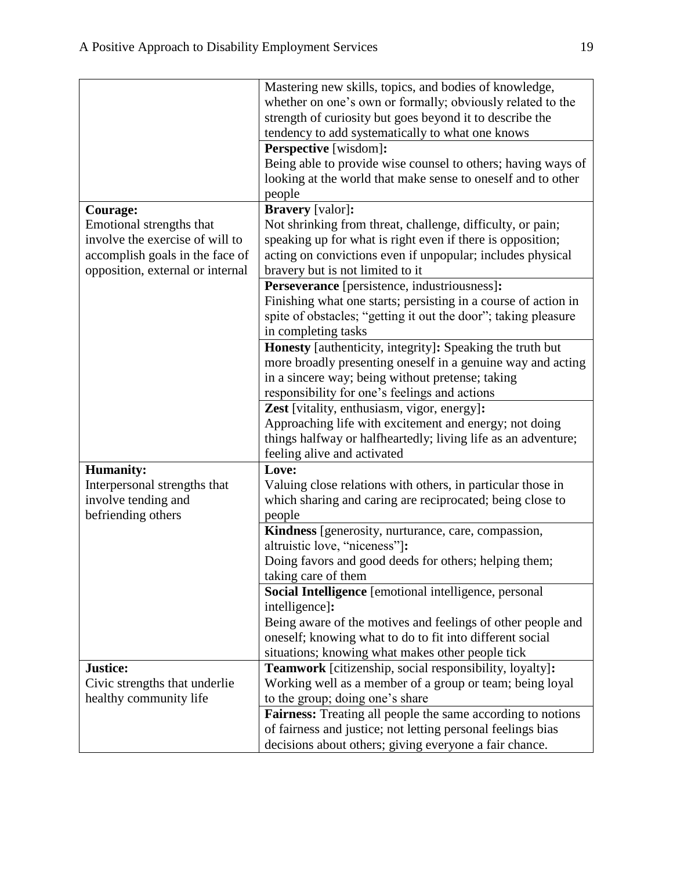|                                  | Mastering new skills, topics, and bodies of knowledge,             |
|----------------------------------|--------------------------------------------------------------------|
|                                  | whether on one's own or formally; obviously related to the         |
|                                  | strength of curiosity but goes beyond it to describe the           |
|                                  | tendency to add systematically to what one knows                   |
|                                  | Perspective [wisdom]:                                              |
|                                  | Being able to provide wise counsel to others; having ways of       |
|                                  | looking at the world that make sense to oneself and to other       |
|                                  | people                                                             |
| <b>Courage:</b>                  | <b>Bravery</b> [valor]:                                            |
| Emotional strengths that         | Not shrinking from threat, challenge, difficulty, or pain;         |
| involve the exercise of will to  | speaking up for what is right even if there is opposition;         |
| accomplish goals in the face of  | acting on convictions even if unpopular; includes physical         |
| opposition, external or internal | bravery but is not limited to it                                   |
|                                  |                                                                    |
|                                  | <b>Perseverance</b> [persistence, industriousness]:                |
|                                  | Finishing what one starts; persisting in a course of action in     |
|                                  | spite of obstacles; "getting it out the door"; taking pleasure     |
|                                  | in completing tasks                                                |
|                                  | Honesty [authenticity, integrity]: Speaking the truth but          |
|                                  | more broadly presenting oneself in a genuine way and acting        |
|                                  | in a sincere way; being without pretense; taking                   |
|                                  | responsibility for one's feelings and actions                      |
|                                  | <b>Zest</b> [vitality, enthusiasm, vigor, energy]:                 |
|                                  | Approaching life with excitement and energy; not doing             |
|                                  | things halfway or halfheartedly; living life as an adventure;      |
|                                  | feeling alive and activated                                        |
| <b>Humanity:</b>                 | Love:                                                              |
| Interpersonal strengths that     | Valuing close relations with others, in particular those in        |
| involve tending and              | which sharing and caring are reciprocated; being close to          |
| befriending others               | people                                                             |
|                                  | Kindness [generosity, nurturance, care, compassion,                |
|                                  | altruistic love, "niceness"]:                                      |
|                                  | Doing favors and good deeds for others; helping them;              |
|                                  | taking care of them                                                |
|                                  | Social Intelligence [emotional intelligence, personal              |
|                                  | intelligence]:                                                     |
|                                  | Being aware of the motives and feelings of other people and        |
|                                  | oneself; knowing what to do to fit into different social           |
|                                  | situations; knowing what makes other people tick                   |
| <b>Justice:</b>                  | Teamwork [citizenship, social responsibility, loyalty]:            |
| Civic strengths that underlie    | Working well as a member of a group or team; being loyal           |
| healthy community life           | to the group; doing one's share                                    |
|                                  | <b>Fairness:</b> Treating all people the same according to notions |
|                                  | of fairness and justice; not letting personal feelings bias        |
|                                  | decisions about others; giving everyone a fair chance.             |
|                                  |                                                                    |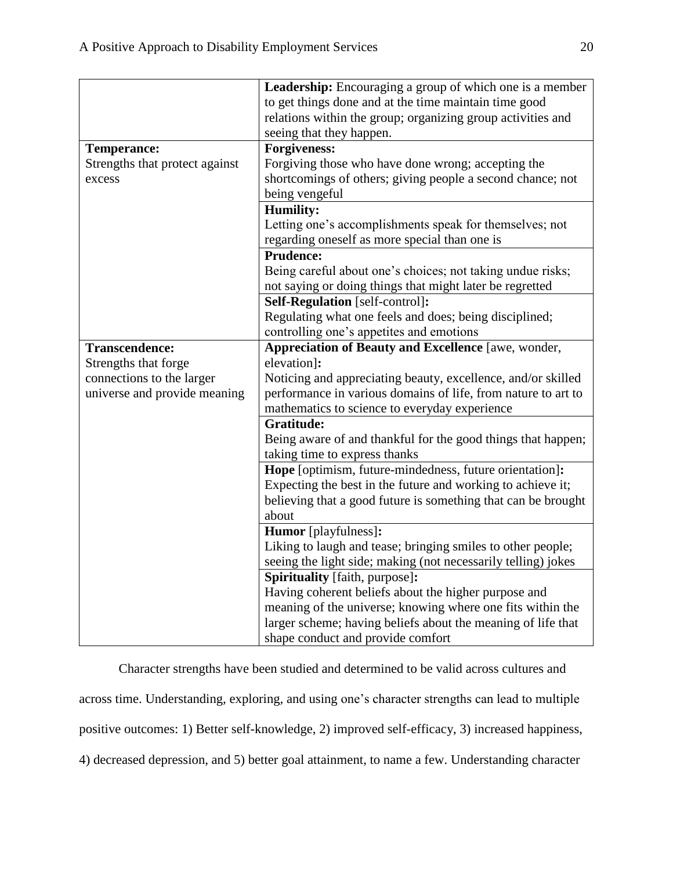|                                | <b>Leadership:</b> Encouraging a group of which one is a member |
|--------------------------------|-----------------------------------------------------------------|
|                                | to get things done and at the time maintain time good           |
|                                | relations within the group; organizing group activities and     |
|                                | seeing that they happen.                                        |
| <b>Temperance:</b>             | <b>Forgiveness:</b>                                             |
| Strengths that protect against | Forgiving those who have done wrong; accepting the              |
| excess                         | shortcomings of others; giving people a second chance; not      |
|                                | being vengeful                                                  |
|                                | <b>Humility:</b>                                                |
|                                | Letting one's accomplishments speak for themselves; not         |
|                                | regarding oneself as more special than one is                   |
|                                | <b>Prudence:</b>                                                |
|                                | Being careful about one's choices; not taking undue risks;      |
|                                | not saying or doing things that might later be regretted        |
|                                | Self-Regulation [self-control]:                                 |
|                                | Regulating what one feels and does; being disciplined;          |
|                                | controlling one's appetites and emotions                        |
| <b>Transcendence:</b>          | Appreciation of Beauty and Excellence [awe, wonder,             |
| Strengths that forge           | elevation]:                                                     |
| connections to the larger      | Noticing and appreciating beauty, excellence, and/or skilled    |
| universe and provide meaning   | performance in various domains of life, from nature to art to   |
|                                | mathematics to science to everyday experience                   |
|                                | <b>Gratitude:</b>                                               |
|                                | Being aware of and thankful for the good things that happen;    |
|                                | taking time to express thanks                                   |
|                                | Hope [optimism, future-mindedness, future orientation]:         |
|                                | Expecting the best in the future and working to achieve it;     |
|                                | believing that a good future is something that can be brought   |
|                                | about                                                           |
|                                | <b>Humor</b> [playfulness]:                                     |
|                                | Liking to laugh and tease; bringing smiles to other people;     |
|                                | seeing the light side; making (not necessarily telling) jokes   |
|                                | Spirituality [faith, purpose]:                                  |
|                                | Having coherent beliefs about the higher purpose and            |
|                                | meaning of the universe; knowing where one fits within the      |
|                                | larger scheme; having beliefs about the meaning of life that    |
|                                | shape conduct and provide comfort                               |

Character strengths have been studied and determined to be valid across cultures and across time. Understanding, exploring, and using one's character strengths can lead to multiple positive outcomes: 1) Better self-knowledge, 2) improved self-efficacy, 3) increased happiness, 4) decreased depression, and 5) better goal attainment, to name a few. Understanding character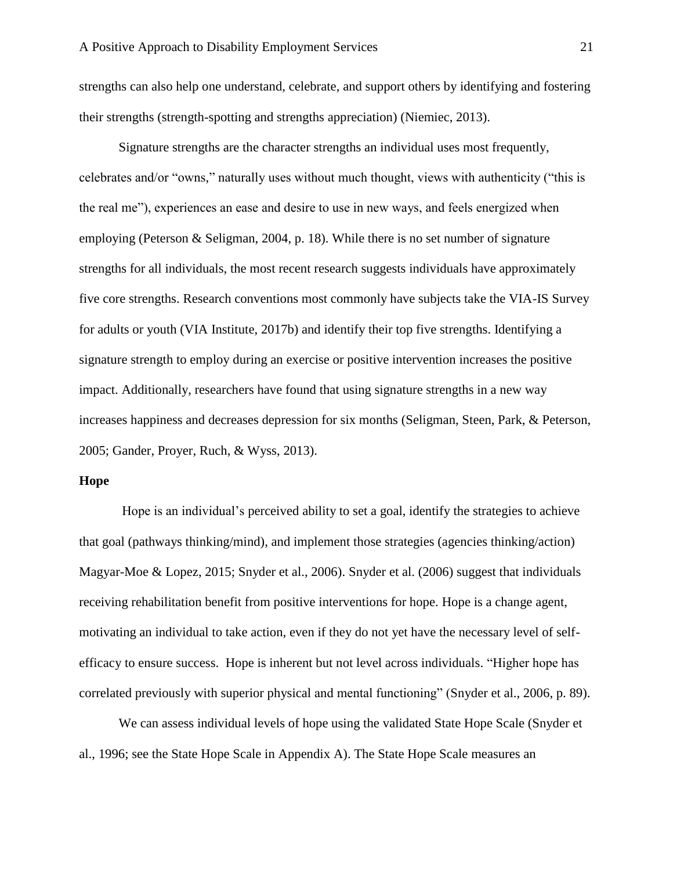strengths can also help one understand, celebrate, and support others by identifying and fostering their strengths (strength-spotting and strengths appreciation) (Niemiec, 2013).

Signature strengths are the character strengths an individual uses most frequently, celebrates and/or "owns," naturally uses without much thought, views with authenticity ("this is the real me"), experiences an ease and desire to use in new ways, and feels energized when employing (Peterson & Seligman, 2004, p. 18). While there is no set number of signature strengths for all individuals, the most recent research suggests individuals have approximately five core strengths. Research conventions most commonly have subjects take the VIA-IS Survey for adults or youth (VIA Institute, 2017b) and identify their top five strengths. Identifying a signature strength to employ during an exercise or positive intervention increases the positive impact. Additionally, researchers have found that using signature strengths in a new way increases happiness and decreases depression for six months (Seligman, Steen, Park, & Peterson, 2005; Gander, Proyer, Ruch, & Wyss, 2013).

#### **Hope**

Hope is an individual's perceived ability to set a goal, identify the strategies to achieve that goal (pathways thinking/mind), and implement those strategies (agencies thinking/action) Magyar-Moe & Lopez, 2015; Snyder et al., 2006). Snyder et al. (2006) suggest that individuals receiving rehabilitation benefit from positive interventions for hope. Hope is a change agent, motivating an individual to take action, even if they do not yet have the necessary level of selfefficacy to ensure success. Hope is inherent but not level across individuals. "Higher hope has correlated previously with superior physical and mental functioning" (Snyder et al., 2006, p. 89).

We can assess individual levels of hope using the validated State Hope Scale (Snyder et al., 1996; see the State Hope Scale in Appendix A). The State Hope Scale measures an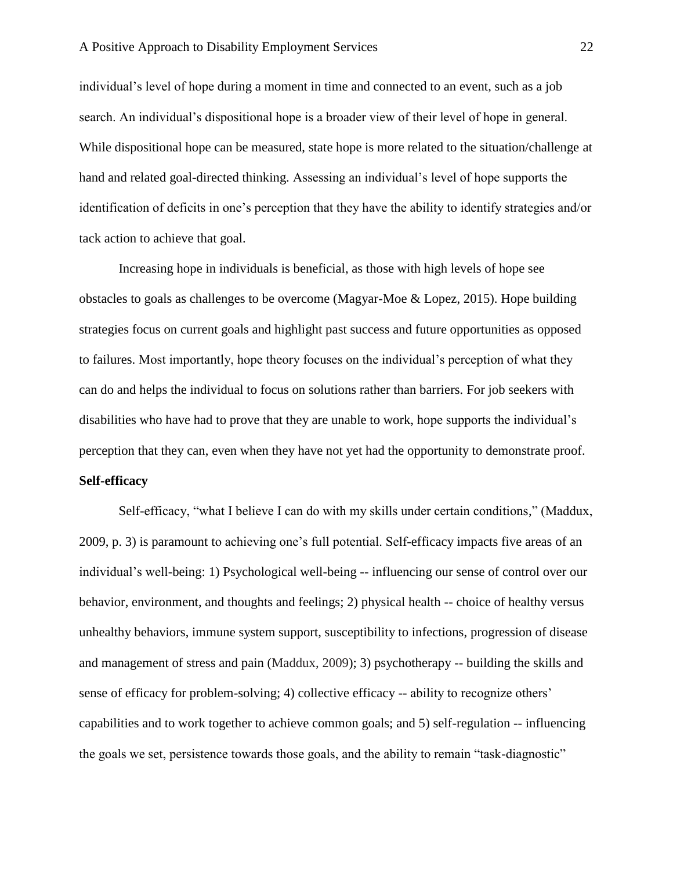individual's level of hope during a moment in time and connected to an event, such as a job search. An individual's dispositional hope is a broader view of their level of hope in general. While dispositional hope can be measured, state hope is more related to the situation/challenge at hand and related goal-directed thinking. Assessing an individual's level of hope supports the identification of deficits in one's perception that they have the ability to identify strategies and/or tack action to achieve that goal.

Increasing hope in individuals is beneficial, as those with high levels of hope see obstacles to goals as challenges to be overcome (Magyar-Moe & Lopez, 2015). Hope building strategies focus on current goals and highlight past success and future opportunities as opposed to failures. Most importantly, hope theory focuses on the individual's perception of what they can do and helps the individual to focus on solutions rather than barriers. For job seekers with disabilities who have had to prove that they are unable to work, hope supports the individual's perception that they can, even when they have not yet had the opportunity to demonstrate proof.

**Self-efficacy**

Self-efficacy, "what I believe I can do with my skills under certain conditions," (Maddux, 2009, p. 3) is paramount to achieving one's full potential. Self-efficacy impacts five areas of an individual's well-being: 1) Psychological well-being -- influencing our sense of control over our behavior, environment, and thoughts and feelings; 2) physical health -- choice of healthy versus unhealthy behaviors, immune system support, susceptibility to infections, progression of disease and management of stress and pain (Maddux, 2009); 3) psychotherapy -- building the skills and sense of efficacy for problem-solving; 4) collective efficacy -- ability to recognize others' capabilities and to work together to achieve common goals; and 5) self-regulation -- influencing the goals we set, persistence towards those goals, and the ability to remain "task-diagnostic"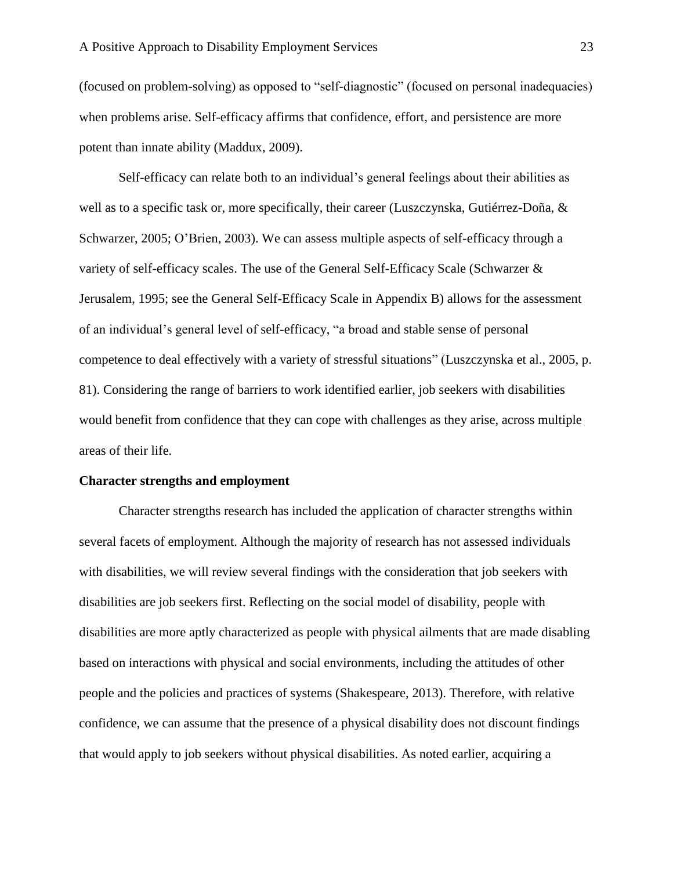(focused on problem-solving) as opposed to "self-diagnostic" (focused on personal inadequacies) when problems arise. Self-efficacy affirms that confidence, effort, and persistence are more potent than innate ability (Maddux, 2009).

Self-efficacy can relate both to an individual's general feelings about their abilities as well as to a specific task or, more specifically, their career (Luszczynska, Gutiérrez-Doña, & Schwarzer, 2005; O'Brien, 2003). We can assess multiple aspects of self-efficacy through a variety of self-efficacy scales. The use of the General Self-Efficacy Scale (Schwarzer & Jerusalem, 1995; see the General Self-Efficacy Scale in Appendix B) allows for the assessment of an individual's general level of self-efficacy, "a broad and stable sense of personal competence to deal effectively with a variety of stressful situations" (Luszczynska et al., 2005, p. 81). Considering the range of barriers to work identified earlier, job seekers with disabilities would benefit from confidence that they can cope with challenges as they arise, across multiple areas of their life.

#### **Character strengths and employment**

Character strengths research has included the application of character strengths within several facets of employment. Although the majority of research has not assessed individuals with disabilities, we will review several findings with the consideration that job seekers with disabilities are job seekers first. Reflecting on the social model of disability, people with disabilities are more aptly characterized as people with physical ailments that are made disabling based on interactions with physical and social environments, including the attitudes of other people and the policies and practices of systems (Shakespeare, 2013). Therefore, with relative confidence, we can assume that the presence of a physical disability does not discount findings that would apply to job seekers without physical disabilities. As noted earlier, acquiring a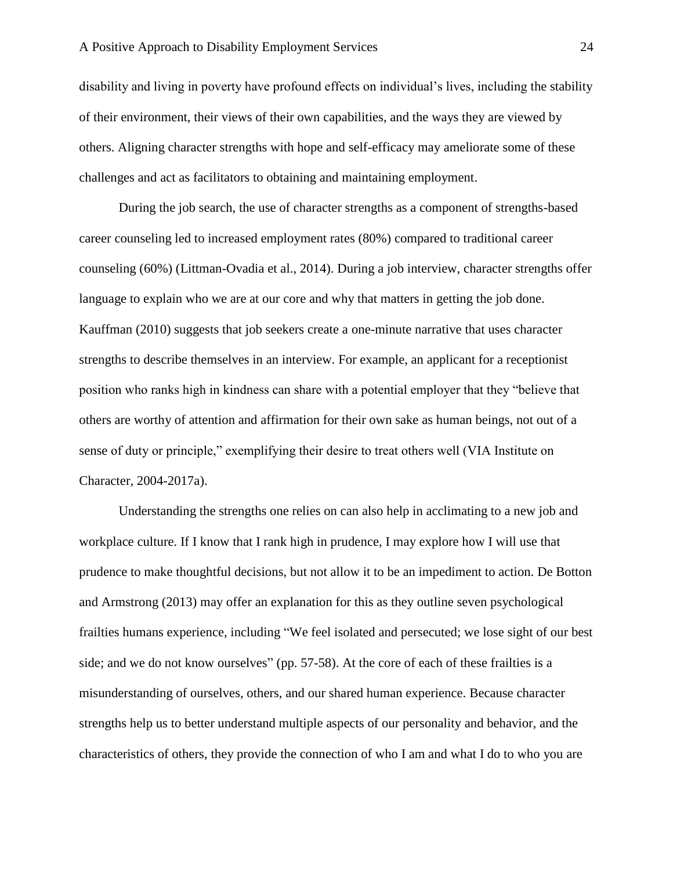disability and living in poverty have profound effects on individual's lives, including the stability of their environment, their views of their own capabilities, and the ways they are viewed by others. Aligning character strengths with hope and self-efficacy may ameliorate some of these challenges and act as facilitators to obtaining and maintaining employment.

During the job search, the use of character strengths as a component of strengths-based career counseling led to increased employment rates (80%) compared to traditional career counseling (60%) (Littman-Ovadia et al., 2014). During a job interview, character strengths offer language to explain who we are at our core and why that matters in getting the job done. Kauffman (2010) suggests that job seekers create a one-minute narrative that uses character strengths to describe themselves in an interview. For example, an applicant for a receptionist position who ranks high in kindness can share with a potential employer that they "believe that others are worthy of attention and affirmation for their own sake as human beings, not out of a sense of duty or principle," exemplifying their desire to treat others well (VIA Institute on Character, 2004-2017a).

Understanding the strengths one relies on can also help in acclimating to a new job and workplace culture. If I know that I rank high in prudence, I may explore how I will use that prudence to make thoughtful decisions, but not allow it to be an impediment to action. De Botton and Armstrong (2013) may offer an explanation for this as they outline seven psychological frailties humans experience, including "We feel isolated and persecuted; we lose sight of our best side; and we do not know ourselves" (pp. 57-58). At the core of each of these frailties is a misunderstanding of ourselves, others, and our shared human experience. Because character strengths help us to better understand multiple aspects of our personality and behavior, and the characteristics of others, they provide the connection of who I am and what I do to who you are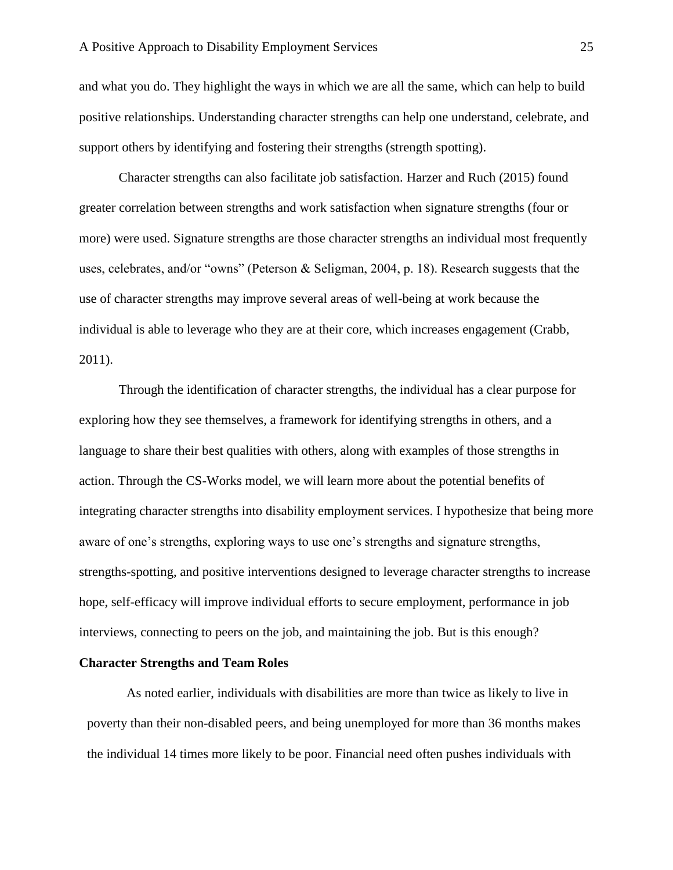and what you do. They highlight the ways in which we are all the same, which can help to build positive relationships. Understanding character strengths can help one understand, celebrate, and support others by identifying and fostering their strengths (strength spotting).

Character strengths can also facilitate job satisfaction. Harzer and Ruch (2015) found greater correlation between strengths and work satisfaction when signature strengths (four or more) were used. Signature strengths are those character strengths an individual most frequently uses, celebrates, and/or "owns" (Peterson & Seligman, 2004, p. 18). Research suggests that the use of character strengths may improve several areas of well-being at work because the individual is able to leverage who they are at their core, which increases engagement (Crabb, 2011).

Through the identification of character strengths, the individual has a clear purpose for exploring how they see themselves, a framework for identifying strengths in others, and a language to share their best qualities with others, along with examples of those strengths in action. Through the CS-Works model, we will learn more about the potential benefits of integrating character strengths into disability employment services. I hypothesize that being more aware of one's strengths, exploring ways to use one's strengths and signature strengths, strengths-spotting, and positive interventions designed to leverage character strengths to increase hope, self-efficacy will improve individual efforts to secure employment, performance in job interviews, connecting to peers on the job, and maintaining the job. But is this enough?

#### **Character Strengths and Team Roles**

As noted earlier, individuals with disabilities are more than twice as likely to live in poverty than their non-disabled peers, and being unemployed for more than 36 months makes the individual 14 times more likely to be poor. Financial need often pushes individuals with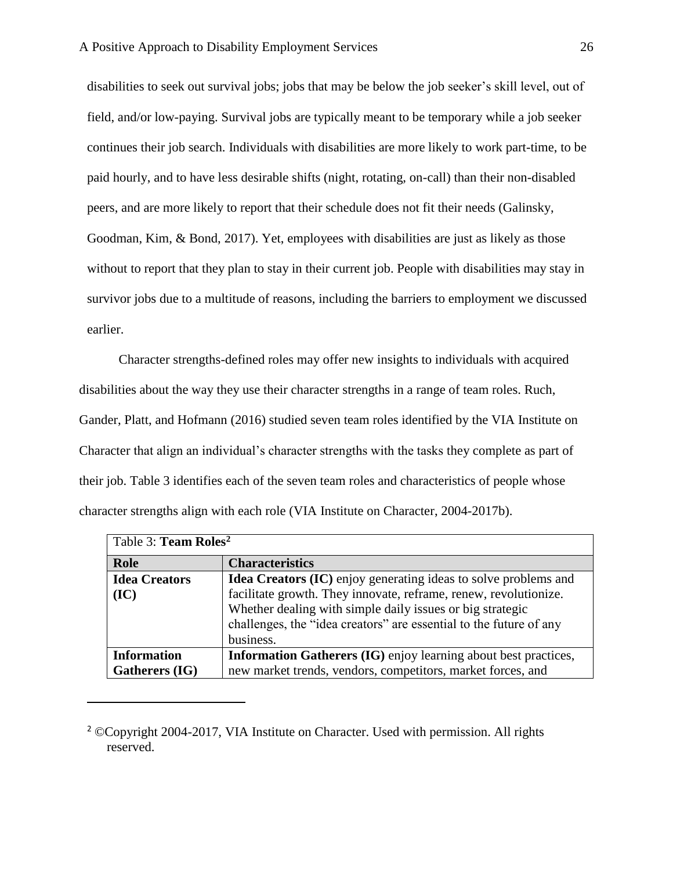disabilities to seek out survival jobs; jobs that may be below the job seeker's skill level, out of field, and/or low-paying. Survival jobs are typically meant to be temporary while a job seeker continues their job search. Individuals with disabilities are more likely to work part-time, to be paid hourly, and to have less desirable shifts (night, rotating, on-call) than their non-disabled peers, and are more likely to report that their schedule does not fit their needs (Galinsky, Goodman, Kim, & Bond, 2017). Yet, employees with disabilities are just as likely as those without to report that they plan to stay in their current job. People with disabilities may stay in survivor jobs due to a multitude of reasons, including the barriers to employment we discussed earlier.

Character strengths-defined roles may offer new insights to individuals with acquired disabilities about the way they use their character strengths in a range of team roles. Ruch, Gander, Platt, and Hofmann (2016) studied seven team roles identified by the VIA Institute on Character that align an individual's character strengths with the tasks they complete as part of their job. Table 3 identifies each of the seven team roles and characteristics of people whose character strengths align with each role (VIA Institute on Character, 2004-2017b).

| Table 3: Team Roles <sup>2</sup> |                                                                        |  |
|----------------------------------|------------------------------------------------------------------------|--|
| Role                             | <b>Characteristics</b>                                                 |  |
| <b>Idea Creators</b>             | <b>Idea Creators (IC)</b> enjoy generating ideas to solve problems and |  |
| (IC)                             | facilitate growth. They innovate, reframe, renew, revolutionize.       |  |
|                                  | Whether dealing with simple daily issues or big strategic              |  |
|                                  | challenges, the "idea creators" are essential to the future of any     |  |
|                                  | business.                                                              |  |
| <b>Information</b>               | <b>Information Gatherers (IG)</b> enjoy learning about best practices, |  |
| Gatherers (IG)                   | new market trends, vendors, competitors, market forces, and            |  |

<sup>2</sup> ©Copyright 2004-2017, VIA Institute on Character. Used with permission. All rights reserved.

 $\overline{\phantom{a}}$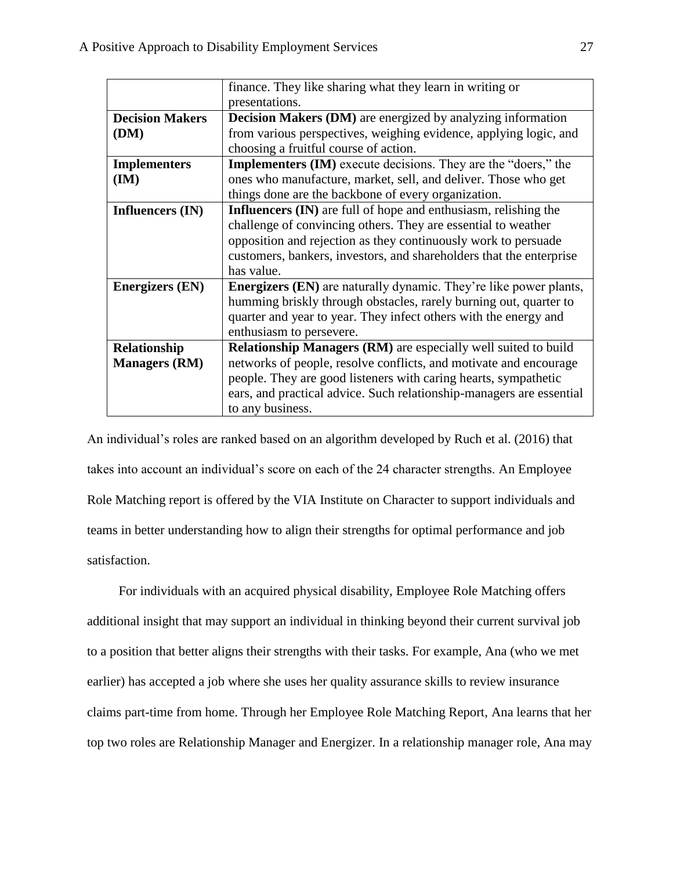|                         | finance. They like sharing what they learn in writing or                 |
|-------------------------|--------------------------------------------------------------------------|
|                         | presentations.                                                           |
| <b>Decision Makers</b>  | <b>Decision Makers (DM)</b> are energized by analyzing information       |
| (DM)                    | from various perspectives, weighing evidence, applying logic, and        |
|                         | choosing a fruitful course of action.                                    |
| <b>Implementers</b>     | <b>Implementers (IM)</b> execute decisions. They are the "doers," the    |
| (IM)                    | ones who manufacture, market, sell, and deliver. Those who get           |
|                         | things done are the backbone of every organization.                      |
| <b>Influencers (IN)</b> | <b>Influencers (IN)</b> are full of hope and enthusiasm, relishing the   |
|                         | challenge of convincing others. They are essential to weather            |
|                         | opposition and rejection as they continuously work to persuade           |
|                         | customers, bankers, investors, and shareholders that the enterprise      |
|                         | has value.                                                               |
| <b>Energizers</b> (EN)  | <b>Energizers (EN)</b> are naturally dynamic. They're like power plants, |
|                         | humming briskly through obstacles, rarely burning out, quarter to        |
|                         | quarter and year to year. They infect others with the energy and         |
|                         | enthusiasm to persevere.                                                 |
| Relationship            | <b>Relationship Managers (RM)</b> are especially well suited to build    |
| <b>Managers (RM)</b>    | networks of people, resolve conflicts, and motivate and encourage        |
|                         | people. They are good listeners with caring hearts, sympathetic          |
|                         | ears, and practical advice. Such relationship-managers are essential     |
|                         | to any business.                                                         |

An individual's roles are ranked based on an algorithm developed by Ruch et al. (2016) that takes into account an individual's score on each of the 24 character strengths. An Employee Role Matching report is offered by the VIA Institute on Character to support individuals and teams in better understanding how to align their strengths for optimal performance and job satisfaction.

For individuals with an acquired physical disability, Employee Role Matching offers additional insight that may support an individual in thinking beyond their current survival job to a position that better aligns their strengths with their tasks. For example, Ana (who we met earlier) has accepted a job where she uses her quality assurance skills to review insurance claims part-time from home. Through her Employee Role Matching Report, Ana learns that her top two roles are Relationship Manager and Energizer. In a relationship manager role, Ana may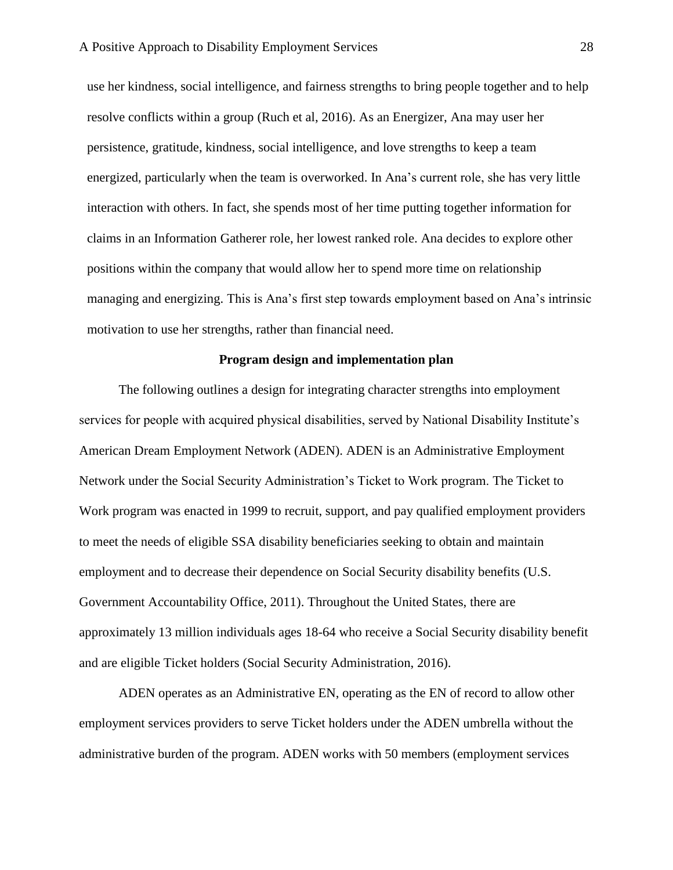use her kindness, social intelligence, and fairness strengths to bring people together and to help resolve conflicts within a group (Ruch et al, 2016). As an Energizer, Ana may user her persistence, gratitude, kindness, social intelligence, and love strengths to keep a team energized, particularly when the team is overworked. In Ana's current role, she has very little interaction with others. In fact, she spends most of her time putting together information for claims in an Information Gatherer role, her lowest ranked role. Ana decides to explore other positions within the company that would allow her to spend more time on relationship managing and energizing. This is Ana's first step towards employment based on Ana's intrinsic motivation to use her strengths, rather than financial need.

#### **Program design and implementation plan**

The following outlines a design for integrating character strengths into employment services for people with acquired physical disabilities, served by National Disability Institute's American Dream Employment Network (ADEN). ADEN is an Administrative Employment Network under the Social Security Administration's Ticket to Work program. The Ticket to Work program was enacted in 1999 to recruit, support, and pay qualified employment providers to meet the needs of eligible SSA disability beneficiaries seeking to obtain and maintain employment and to decrease their dependence on Social Security disability benefits (U.S. Government Accountability Office, 2011). Throughout the United States, there are approximately 13 million individuals ages 18-64 who receive a Social Security disability benefit and are eligible Ticket holders (Social Security Administration, 2016).

ADEN operates as an Administrative EN, operating as the EN of record to allow other employment services providers to serve Ticket holders under the ADEN umbrella without the administrative burden of the program. ADEN works with 50 members (employment services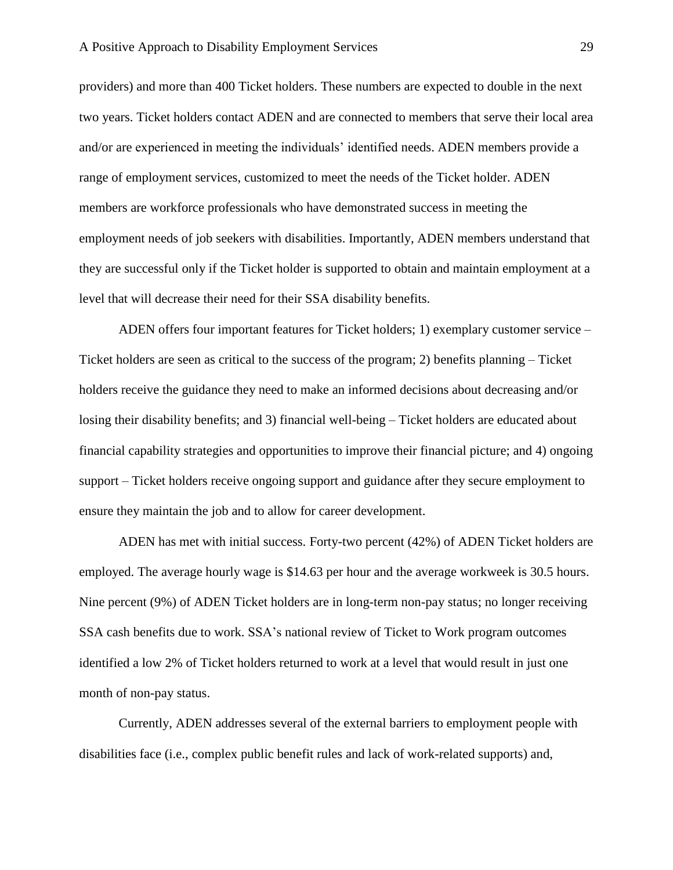providers) and more than 400 Ticket holders. These numbers are expected to double in the next two years. Ticket holders contact ADEN and are connected to members that serve their local area and/or are experienced in meeting the individuals' identified needs. ADEN members provide a range of employment services, customized to meet the needs of the Ticket holder. ADEN members are workforce professionals who have demonstrated success in meeting the employment needs of job seekers with disabilities. Importantly, ADEN members understand that they are successful only if the Ticket holder is supported to obtain and maintain employment at a level that will decrease their need for their SSA disability benefits.

ADEN offers four important features for Ticket holders; 1) exemplary customer service – Ticket holders are seen as critical to the success of the program; 2) benefits planning – Ticket holders receive the guidance they need to make an informed decisions about decreasing and/or losing their disability benefits; and 3) financial well-being – Ticket holders are educated about financial capability strategies and opportunities to improve their financial picture; and 4) ongoing support – Ticket holders receive ongoing support and guidance after they secure employment to ensure they maintain the job and to allow for career development.

ADEN has met with initial success. Forty-two percent (42%) of ADEN Ticket holders are employed. The average hourly wage is \$14.63 per hour and the average workweek is 30.5 hours. Nine percent (9%) of ADEN Ticket holders are in long-term non-pay status; no longer receiving SSA cash benefits due to work. SSA's national review of Ticket to Work program outcomes identified a low 2% of Ticket holders returned to work at a level that would result in just one month of non-pay status.

Currently, ADEN addresses several of the external barriers to employment people with disabilities face (i.e., complex public benefit rules and lack of work-related supports) and,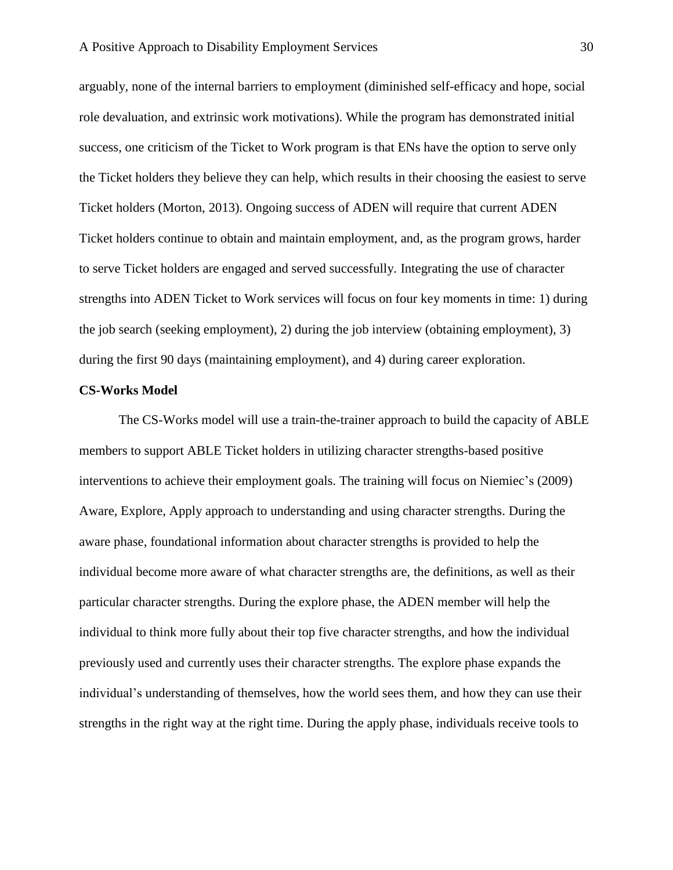arguably, none of the internal barriers to employment (diminished self-efficacy and hope, social role devaluation, and extrinsic work motivations). While the program has demonstrated initial success, one criticism of the Ticket to Work program is that ENs have the option to serve only the Ticket holders they believe they can help, which results in their choosing the easiest to serve Ticket holders (Morton, 2013). Ongoing success of ADEN will require that current ADEN Ticket holders continue to obtain and maintain employment, and, as the program grows, harder to serve Ticket holders are engaged and served successfully. Integrating the use of character strengths into ADEN Ticket to Work services will focus on four key moments in time: 1) during the job search (seeking employment), 2) during the job interview (obtaining employment), 3) during the first 90 days (maintaining employment), and 4) during career exploration.

#### **CS-Works Model**

The CS-Works model will use a train-the-trainer approach to build the capacity of ABLE members to support ABLE Ticket holders in utilizing character strengths-based positive interventions to achieve their employment goals. The training will focus on Niemiec's (2009) Aware, Explore, Apply approach to understanding and using character strengths. During the aware phase, foundational information about character strengths is provided to help the individual become more aware of what character strengths are, the definitions, as well as their particular character strengths. During the explore phase, the ADEN member will help the individual to think more fully about their top five character strengths, and how the individual previously used and currently uses their character strengths. The explore phase expands the individual's understanding of themselves, how the world sees them, and how they can use their strengths in the right way at the right time. During the apply phase, individuals receive tools to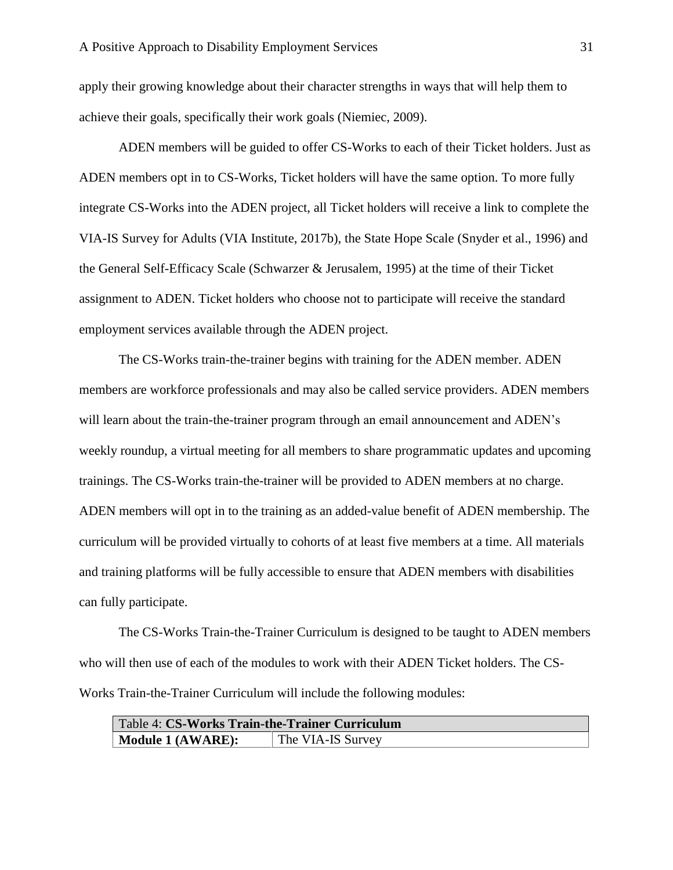apply their growing knowledge about their character strengths in ways that will help them to achieve their goals, specifically their work goals (Niemiec, 2009).

ADEN members will be guided to offer CS-Works to each of their Ticket holders. Just as ADEN members opt in to CS-Works, Ticket holders will have the same option. To more fully integrate CS-Works into the ADEN project, all Ticket holders will receive a link to complete the VIA-IS Survey for Adults (VIA Institute, 2017b), the State Hope Scale (Snyder et al., 1996) and the General Self-Efficacy Scale (Schwarzer & Jerusalem, 1995) at the time of their Ticket assignment to ADEN. Ticket holders who choose not to participate will receive the standard employment services available through the ADEN project.

The CS-Works train-the-trainer begins with training for the ADEN member. ADEN members are workforce professionals and may also be called service providers. ADEN members will learn about the train-the-trainer program through an email announcement and ADEN's weekly roundup, a virtual meeting for all members to share programmatic updates and upcoming trainings. The CS-Works train-the-trainer will be provided to ADEN members at no charge. ADEN members will opt in to the training as an added-value benefit of ADEN membership. The curriculum will be provided virtually to cohorts of at least five members at a time. All materials and training platforms will be fully accessible to ensure that ADEN members with disabilities can fully participate.

The CS-Works Train-the-Trainer Curriculum is designed to be taught to ADEN members who will then use of each of the modules to work with their ADEN Ticket holders. The CS-Works Train-the-Trainer Curriculum will include the following modules:

| Table 4: CS-Works Train-the-Trainer Curriculum |                   |
|------------------------------------------------|-------------------|
| Module 1 (AWARE):                              | The VIA-IS Survey |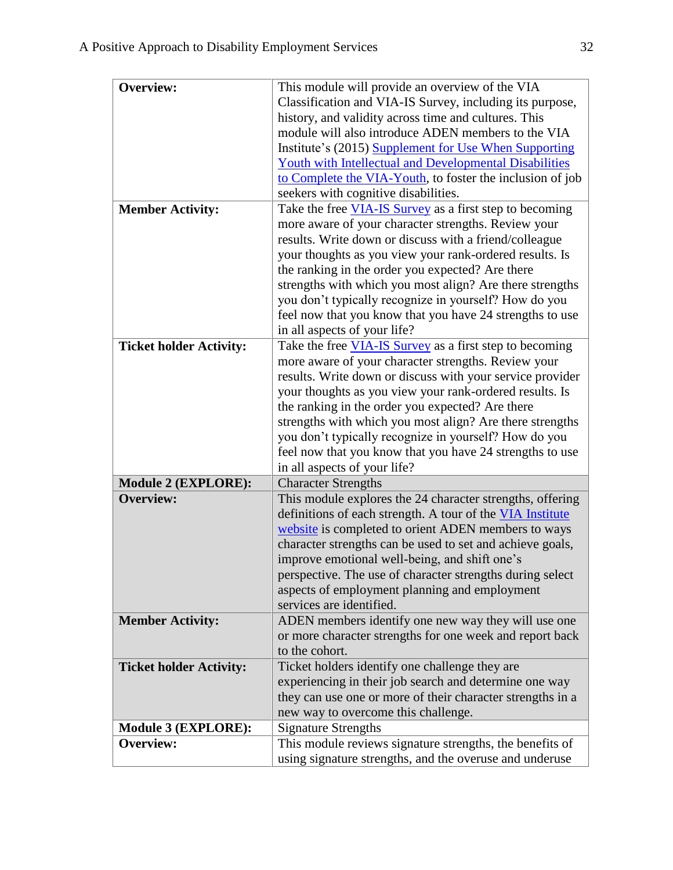| Overview:                      | This module will provide an overview of the VIA               |
|--------------------------------|---------------------------------------------------------------|
|                                | Classification and VIA-IS Survey, including its purpose,      |
|                                | history, and validity across time and cultures. This          |
|                                | module will also introduce ADEN members to the VIA            |
|                                | Institute's (2015) Supplement for Use When Supporting         |
|                                | <b>Youth with Intellectual and Developmental Disabilities</b> |
|                                | to Complete the VIA-Youth, to foster the inclusion of job     |
|                                | seekers with cognitive disabilities.                          |
|                                |                                                               |
| <b>Member Activity:</b>        | Take the free VIA-IS Survey as a first step to becoming       |
|                                | more aware of your character strengths. Review your           |
|                                | results. Write down or discuss with a friend/colleague        |
|                                | your thoughts as you view your rank-ordered results. Is       |
|                                | the ranking in the order you expected? Are there              |
|                                | strengths with which you most align? Are there strengths      |
|                                | you don't typically recognize in yourself? How do you         |
|                                | feel now that you know that you have 24 strengths to use      |
|                                | in all aspects of your life?                                  |
| <b>Ticket holder Activity:</b> | Take the free VIA-IS Survey as a first step to becoming       |
|                                | more aware of your character strengths. Review your           |
|                                | results. Write down or discuss with your service provider     |
|                                | your thoughts as you view your rank-ordered results. Is       |
|                                | the ranking in the order you expected? Are there              |
|                                | strengths with which you most align? Are there strengths      |
|                                | you don't typically recognize in yourself? How do you         |
|                                | feel now that you know that you have 24 strengths to use      |
|                                | in all aspects of your life?                                  |
| <b>Module 2 (EXPLORE):</b>     | <b>Character Strengths</b>                                    |
| <b>Overview:</b>               | This module explores the 24 character strengths, offering     |
|                                | definitions of each strength. A tour of the VIA Institute     |
|                                |                                                               |
|                                | website is completed to orient ADEN members to ways           |
|                                | character strengths can be used to set and achieve goals,     |
|                                | improve emotional well-being, and shift one's                 |
|                                | perspective. The use of character strengths during select     |
|                                | aspects of employment planning and employment                 |
|                                | services are identified.                                      |
| <b>Member Activity:</b>        | ADEN members identify one new way they will use one           |
|                                | or more character strengths for one week and report back      |
|                                | to the cohort.                                                |
| <b>Ticket holder Activity:</b> | Ticket holders identify one challenge they are                |
|                                | experiencing in their job search and determine one way        |
|                                | they can use one or more of their character strengths in a    |
|                                | new way to overcome this challenge.                           |
| Module 3 (EXPLORE):            | <b>Signature Strengths</b>                                    |
| <b>Overview:</b>               | This module reviews signature strengths, the benefits of      |
|                                | using signature strengths, and the overuse and underuse       |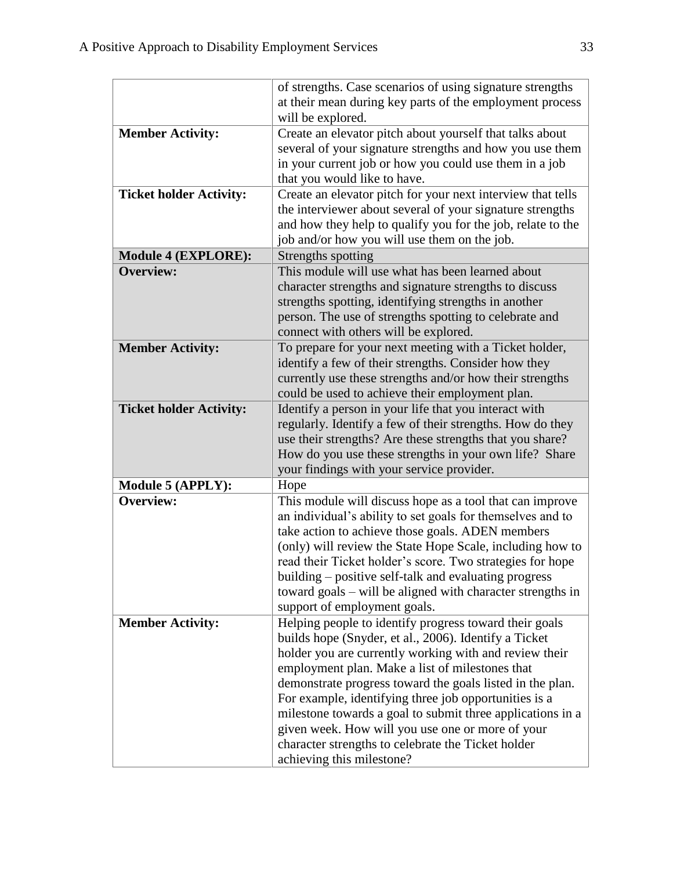|                                | of strengths. Case scenarios of using signature strengths   |
|--------------------------------|-------------------------------------------------------------|
|                                | at their mean during key parts of the employment process    |
|                                | will be explored.                                           |
| <b>Member Activity:</b>        | Create an elevator pitch about yourself that talks about    |
|                                | several of your signature strengths and how you use them    |
|                                | in your current job or how you could use them in a job      |
|                                | that you would like to have.                                |
| <b>Ticket holder Activity:</b> | Create an elevator pitch for your next interview that tells |
|                                | the interviewer about several of your signature strengths   |
|                                | and how they help to qualify you for the job, relate to the |
|                                | job and/or how you will use them on the job.                |
| <b>Module 4 (EXPLORE):</b>     | Strengths spotting                                          |
| <b>Overview:</b>               | This module will use what has been learned about            |
|                                | character strengths and signature strengths to discuss      |
|                                | strengths spotting, identifying strengths in another        |
|                                | person. The use of strengths spotting to celebrate and      |
|                                | connect with others will be explored.                       |
| <b>Member Activity:</b>        | To prepare for your next meeting with a Ticket holder,      |
|                                | identify a few of their strengths. Consider how they        |
|                                | currently use these strengths and/or how their strengths    |
|                                | could be used to achieve their employment plan.             |
| <b>Ticket holder Activity:</b> | Identify a person in your life that you interact with       |
|                                | regularly. Identify a few of their strengths. How do they   |
|                                | use their strengths? Are these strengths that you share?    |
|                                | How do you use these strengths in your own life? Share      |
|                                | your findings with your service provider.                   |
| <b>Module 5 (APPLY):</b>       | Hope                                                        |
| <b>Overview:</b>               | This module will discuss hope as a tool that can improve    |
|                                | an individual's ability to set goals for themselves and to  |
|                                | take action to achieve those goals. ADEN members            |
|                                | (only) will review the State Hope Scale, including how to   |
|                                | read their Ticket holder's score. Two strategies for hope   |
|                                | building – positive self-talk and evaluating progress       |
|                                | toward goals – will be aligned with character strengths in  |
|                                | support of employment goals.                                |
| <b>Member Activity:</b>        | Helping people to identify progress toward their goals      |
|                                | builds hope (Snyder, et al., 2006). Identify a Ticket       |
|                                | holder you are currently working with and review their      |
|                                | employment plan. Make a list of milestones that             |
|                                | demonstrate progress toward the goals listed in the plan.   |
|                                | For example, identifying three job opportunities is a       |
|                                | milestone towards a goal to submit three applications in a  |
|                                | given week. How will you use one or more of your            |
|                                | character strengths to celebrate the Ticket holder          |
|                                | achieving this milestone?                                   |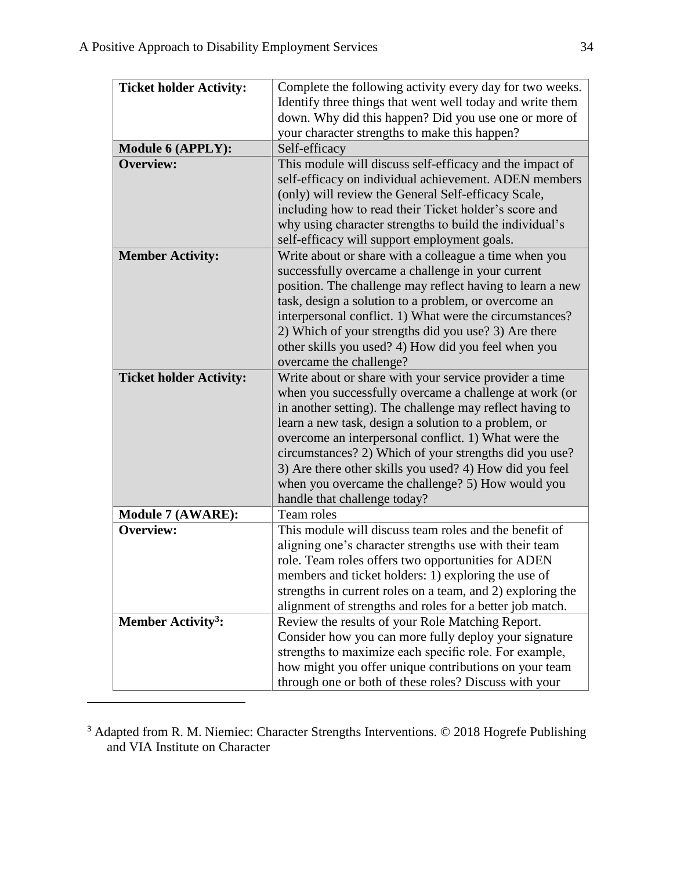| <b>Ticket holder Activity:</b>      | Complete the following activity every day for two weeks.   |
|-------------------------------------|------------------------------------------------------------|
|                                     | Identify three things that went well today and write them  |
|                                     | down. Why did this happen? Did you use one or more of      |
|                                     | your character strengths to make this happen?              |
| Module 6 (APPLY):                   | Self-efficacy                                              |
| <b>Overview:</b>                    | This module will discuss self-efficacy and the impact of   |
|                                     | self-efficacy on individual achievement. ADEN members      |
|                                     | (only) will review the General Self-efficacy Scale,        |
|                                     | including how to read their Ticket holder's score and      |
|                                     | why using character strengths to build the individual's    |
|                                     | self-efficacy will support employment goals.               |
| <b>Member Activity:</b>             | Write about or share with a colleague a time when you      |
|                                     | successfully overcame a challenge in your current          |
|                                     | position. The challenge may reflect having to learn a new  |
|                                     | task, design a solution to a problem, or overcome an       |
|                                     | interpersonal conflict. 1) What were the circumstances?    |
|                                     | 2) Which of your strengths did you use? 3) Are there       |
|                                     | other skills you used? 4) How did you feel when you        |
|                                     | overcame the challenge?                                    |
| <b>Ticket holder Activity:</b>      | Write about or share with your service provider a time     |
|                                     | when you successfully overcame a challenge at work (or     |
|                                     | in another setting). The challenge may reflect having to   |
|                                     | learn a new task, design a solution to a problem, or       |
|                                     | overcome an interpersonal conflict. 1) What were the       |
|                                     | circumstances? 2) Which of your strengths did you use?     |
|                                     | 3) Are there other skills you used? 4) How did you feel    |
|                                     | when you overcame the challenge? 5) How would you          |
|                                     | handle that challenge today?                               |
| <b>Module 7 (AWARE):</b>            | Team roles                                                 |
| <b>Overview:</b>                    | This module will discuss team roles and the benefit of     |
|                                     | aligning one's character strengths use with their team     |
|                                     | role. Team roles offers two opportunities for ADEN         |
|                                     | members and ticket holders: 1) exploring the use of        |
|                                     | strengths in current roles on a team, and 2) exploring the |
|                                     | alignment of strengths and roles for a better job match.   |
| <b>Member Activity<sup>3</sup>:</b> | Review the results of your Role Matching Report.           |
|                                     | Consider how you can more fully deploy your signature      |
|                                     | strengths to maximize each specific role. For example,     |
|                                     | how might you offer unique contributions on your team      |
|                                     | through one or both of these roles? Discuss with your      |

<sup>3</sup> Adapted from R. M. Niemiec: Character Strengths Interventions. © 2018 Hogrefe Publishing and VIA Institute on Character

 $\overline{\phantom{a}}$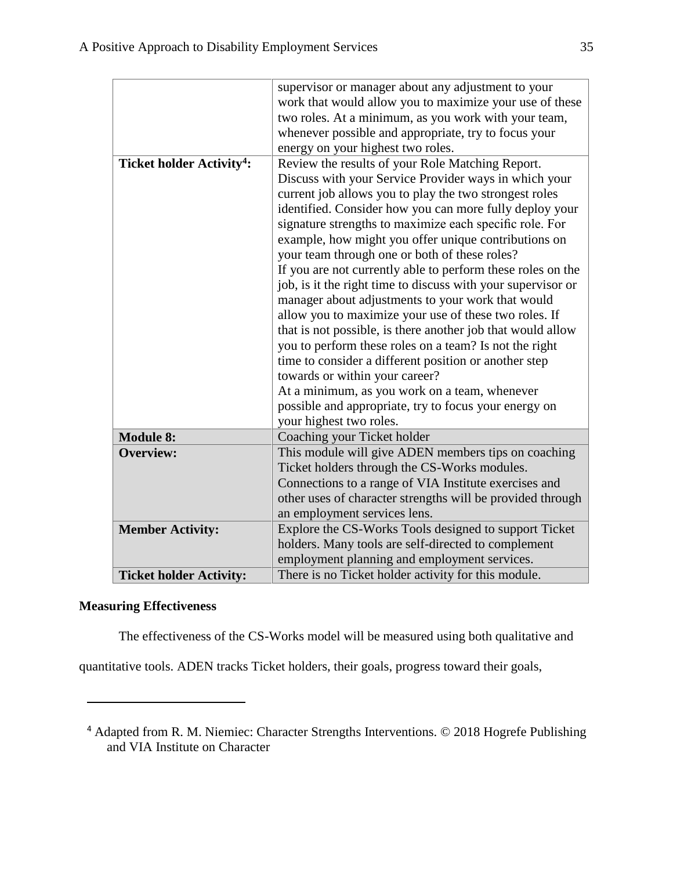|                                            | supervisor or manager about any adjustment to your           |
|--------------------------------------------|--------------------------------------------------------------|
|                                            | work that would allow you to maximize your use of these      |
|                                            | two roles. At a minimum, as you work with your team,         |
|                                            | whenever possible and appropriate, try to focus your         |
|                                            | energy on your highest two roles.                            |
| <b>Ticket holder Activity<sup>4</sup>:</b> | Review the results of your Role Matching Report.             |
|                                            | Discuss with your Service Provider ways in which your        |
|                                            | current job allows you to play the two strongest roles       |
|                                            | identified. Consider how you can more fully deploy your      |
|                                            | signature strengths to maximize each specific role. For      |
|                                            | example, how might you offer unique contributions on         |
|                                            | your team through one or both of these roles?                |
|                                            | If you are not currently able to perform these roles on the  |
|                                            | job, is it the right time to discuss with your supervisor or |
|                                            | manager about adjustments to your work that would            |
|                                            | allow you to maximize your use of these two roles. If        |
|                                            | that is not possible, is there another job that would allow  |
|                                            | you to perform these roles on a team? Is not the right       |
|                                            | time to consider a different position or another step        |
|                                            | towards or within your career?                               |
|                                            | At a minimum, as you work on a team, whenever                |
|                                            | possible and appropriate, try to focus your energy on        |
|                                            | your highest two roles.                                      |
| <b>Module 8:</b>                           | Coaching your Ticket holder                                  |
| <b>Overview:</b>                           | This module will give ADEN members tips on coaching          |
|                                            | Ticket holders through the CS-Works modules.                 |
|                                            | Connections to a range of VIA Institute exercises and        |
|                                            | other uses of character strengths will be provided through   |
|                                            | an employment services lens.                                 |
| <b>Member Activity:</b>                    | Explore the CS-Works Tools designed to support Ticket        |
|                                            | holders. Many tools are self-directed to complement          |
|                                            | employment planning and employment services.                 |
| <b>Ticket holder Activity:</b>             | There is no Ticket holder activity for this module.          |

## **Measuring Effectiveness**

 $\overline{\phantom{a}}$ 

The effectiveness of the CS-Works model will be measured using both qualitative and

quantitative tools. ADEN tracks Ticket holders, their goals, progress toward their goals,

<sup>4</sup> Adapted from R. M. Niemiec: Character Strengths Interventions. © 2018 Hogrefe Publishing and VIA Institute on Character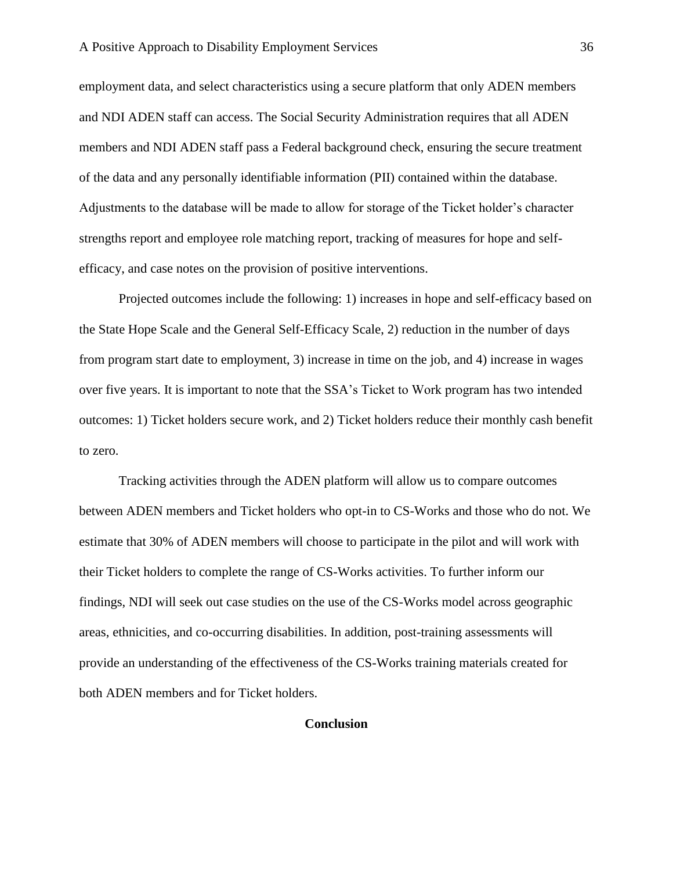employment data, and select characteristics using a secure platform that only ADEN members and NDI ADEN staff can access. The Social Security Administration requires that all ADEN members and NDI ADEN staff pass a Federal background check, ensuring the secure treatment of the data and any personally identifiable information (PII) contained within the database. Adjustments to the database will be made to allow for storage of the Ticket holder's character strengths report and employee role matching report, tracking of measures for hope and selfefficacy, and case notes on the provision of positive interventions.

Projected outcomes include the following: 1) increases in hope and self-efficacy based on the State Hope Scale and the General Self-Efficacy Scale, 2) reduction in the number of days from program start date to employment, 3) increase in time on the job, and 4) increase in wages over five years. It is important to note that the SSA's Ticket to Work program has two intended outcomes: 1) Ticket holders secure work, and 2) Ticket holders reduce their monthly cash benefit to zero.

Tracking activities through the ADEN platform will allow us to compare outcomes between ADEN members and Ticket holders who opt-in to CS-Works and those who do not. We estimate that 30% of ADEN members will choose to participate in the pilot and will work with their Ticket holders to complete the range of CS-Works activities. To further inform our findings, NDI will seek out case studies on the use of the CS-Works model across geographic areas, ethnicities, and co-occurring disabilities. In addition, post-training assessments will provide an understanding of the effectiveness of the CS-Works training materials created for both ADEN members and for Ticket holders.

#### **Conclusion**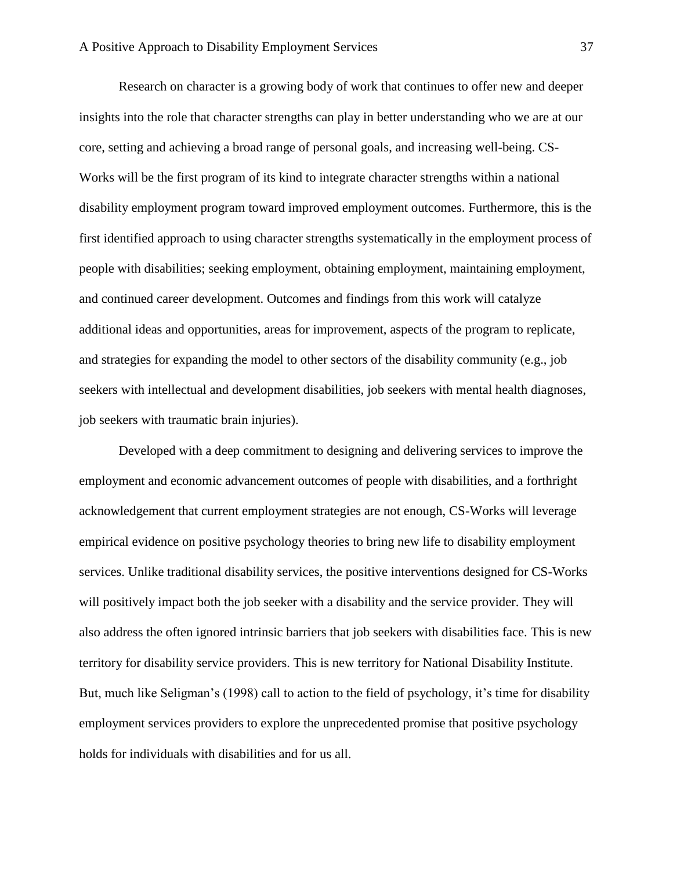Research on character is a growing body of work that continues to offer new and deeper insights into the role that character strengths can play in better understanding who we are at our core, setting and achieving a broad range of personal goals, and increasing well-being. CS-Works will be the first program of its kind to integrate character strengths within a national disability employment program toward improved employment outcomes. Furthermore, this is the first identified approach to using character strengths systematically in the employment process of people with disabilities; seeking employment, obtaining employment, maintaining employment, and continued career development. Outcomes and findings from this work will catalyze additional ideas and opportunities, areas for improvement, aspects of the program to replicate, and strategies for expanding the model to other sectors of the disability community (e.g., job seekers with intellectual and development disabilities, job seekers with mental health diagnoses, job seekers with traumatic brain injuries).

Developed with a deep commitment to designing and delivering services to improve the employment and economic advancement outcomes of people with disabilities, and a forthright acknowledgement that current employment strategies are not enough, CS-Works will leverage empirical evidence on positive psychology theories to bring new life to disability employment services. Unlike traditional disability services, the positive interventions designed for CS-Works will positively impact both the job seeker with a disability and the service provider. They will also address the often ignored intrinsic barriers that job seekers with disabilities face. This is new territory for disability service providers. This is new territory for National Disability Institute. But, much like Seligman's (1998) call to action to the field of psychology, it's time for disability employment services providers to explore the unprecedented promise that positive psychology holds for individuals with disabilities and for us all.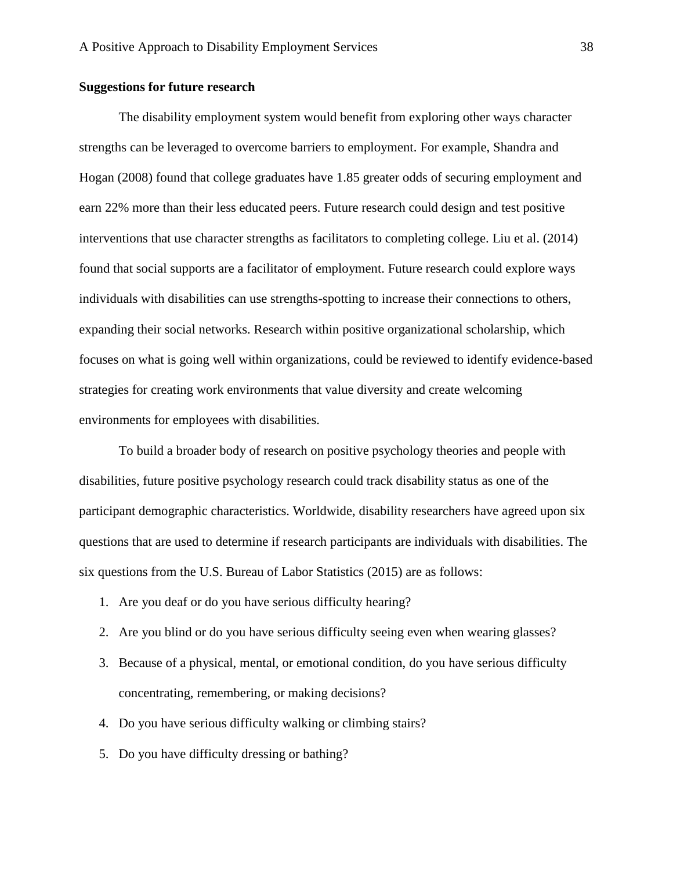#### **Suggestions for future research**

The disability employment system would benefit from exploring other ways character strengths can be leveraged to overcome barriers to employment. For example, Shandra and Hogan (2008) found that college graduates have 1.85 greater odds of securing employment and earn 22% more than their less educated peers. Future research could design and test positive interventions that use character strengths as facilitators to completing college. Liu et al. (2014) found that social supports are a facilitator of employment. Future research could explore ways individuals with disabilities can use strengths-spotting to increase their connections to others, expanding their social networks. Research within positive organizational scholarship, which focuses on what is going well within organizations, could be reviewed to identify evidence-based strategies for creating work environments that value diversity and create welcoming environments for employees with disabilities.

To build a broader body of research on positive psychology theories and people with disabilities, future positive psychology research could track disability status as one of the participant demographic characteristics. Worldwide, disability researchers have agreed upon six questions that are used to determine if research participants are individuals with disabilities. The six questions from the U.S. Bureau of Labor Statistics (2015) are as follows:

- 1. Are you deaf or do you have serious difficulty hearing?
- 2. Are you blind or do you have serious difficulty seeing even when wearing glasses?
- 3. Because of a physical, mental, or emotional condition, do you have serious difficulty concentrating, remembering, or making decisions?
- 4. Do you have serious difficulty walking or climbing stairs?
- 5. Do you have difficulty dressing or bathing?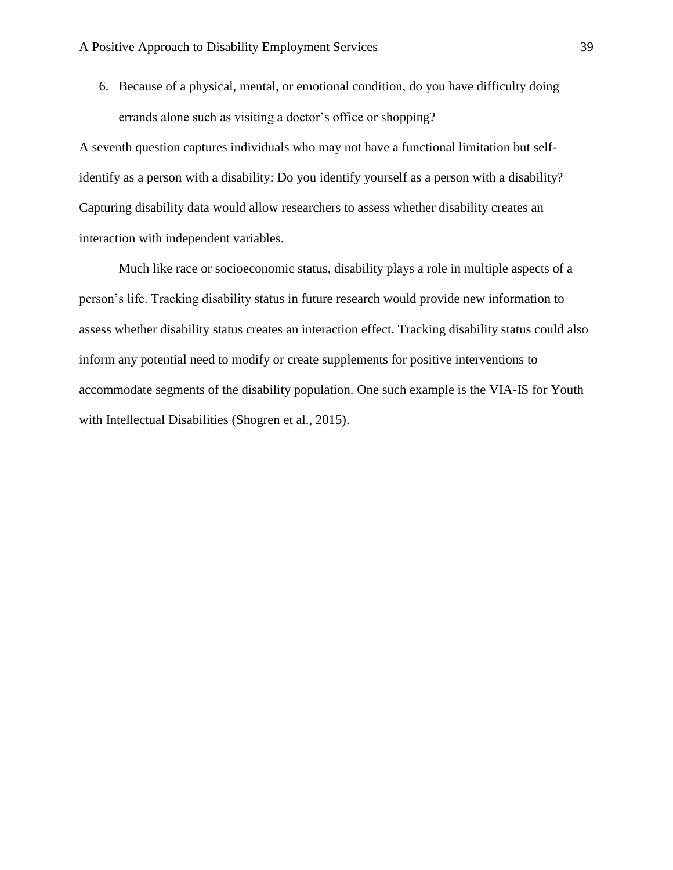6. Because of a physical, mental, or emotional condition, do you have difficulty doing errands alone such as visiting a doctor's office or shopping?

A seventh question captures individuals who may not have a functional limitation but selfidentify as a person with a disability: Do you identify yourself as a person with a disability? Capturing disability data would allow researchers to assess whether disability creates an interaction with independent variables.

Much like race or socioeconomic status, disability plays a role in multiple aspects of a person's life. Tracking disability status in future research would provide new information to assess whether disability status creates an interaction effect. Tracking disability status could also inform any potential need to modify or create supplements for positive interventions to accommodate segments of the disability population. One such example is the VIA-IS for Youth with Intellectual Disabilities (Shogren et al., 2015).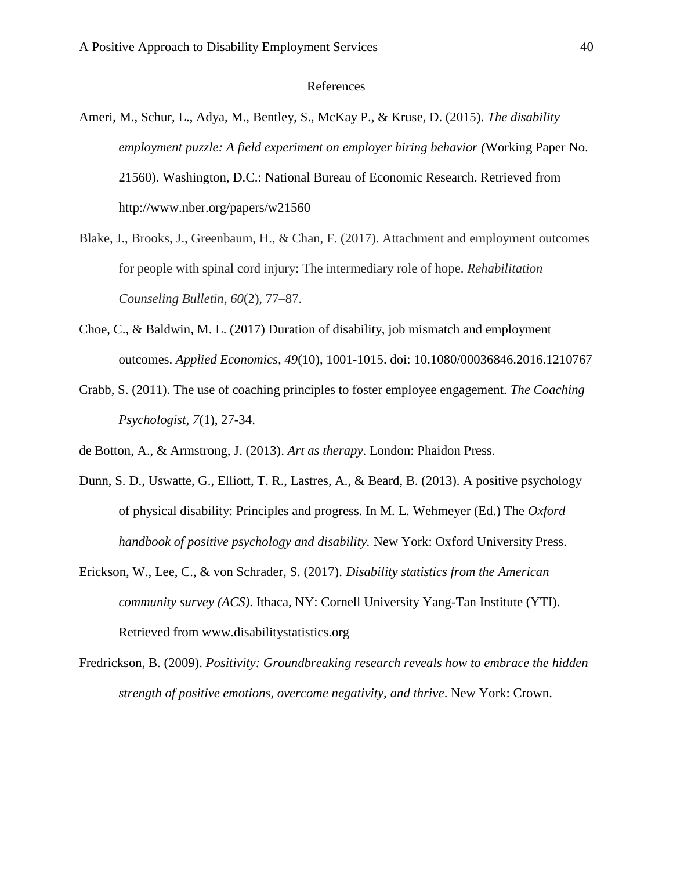#### References

- Ameri, M., Schur, L., Adya, M., Bentley, S., McKay P., & Kruse, D. (2015). *The disability employment puzzle: A field experiment on employer hiring behavior (*Working Paper No. 21560). Washington, D.C.: National Bureau of Economic Research. Retrieved from <http://www.nber.org/papers/w21560>
- Blake, J., Brooks, J., Greenbaum, H., & Chan, F. (2017). Attachment and employment outcomes for people with spinal cord injury: The intermediary role of hope. *Rehabilitation Counseling Bulletin, 60*(2), 77–87.
- Choe, C., & Baldwin, M. L. (2017) Duration of disability, job mismatch and employment outcomes. *Applied Economics, 49*(10), 1001-1015. doi: 10.1080/00036846.2016.1210767
- Crabb, S. (2011). The use of coaching principles to foster employee engagement. *The Coaching Psychologist, 7*(1), 27-34.

de Botton, A., & Armstrong, J. (2013). *Art as therapy*. London: Phaidon Press.

- Dunn, S. D., Uswatte, G., Elliott, T. R., Lastres, A., & Beard, B. (2013). A positive psychology of physical disability: Principles and progress. In M. L. Wehmeyer (Ed.) The *Oxford handbook of positive psychology and disability.* New York: Oxford University Press.
- Erickson, W., Lee, C., & von Schrader, S. (2017). *Disability statistics from the American community survey (ACS)*. Ithaca, NY: Cornell University Yang-Tan Institute (YTI). Retrieved from www.disabilitystatistics.org
- Fredrickson, B. (2009). *Positivity: Groundbreaking research reveals how to embrace the hidden strength of positive emotions, overcome negativity, and thrive*. New York: Crown.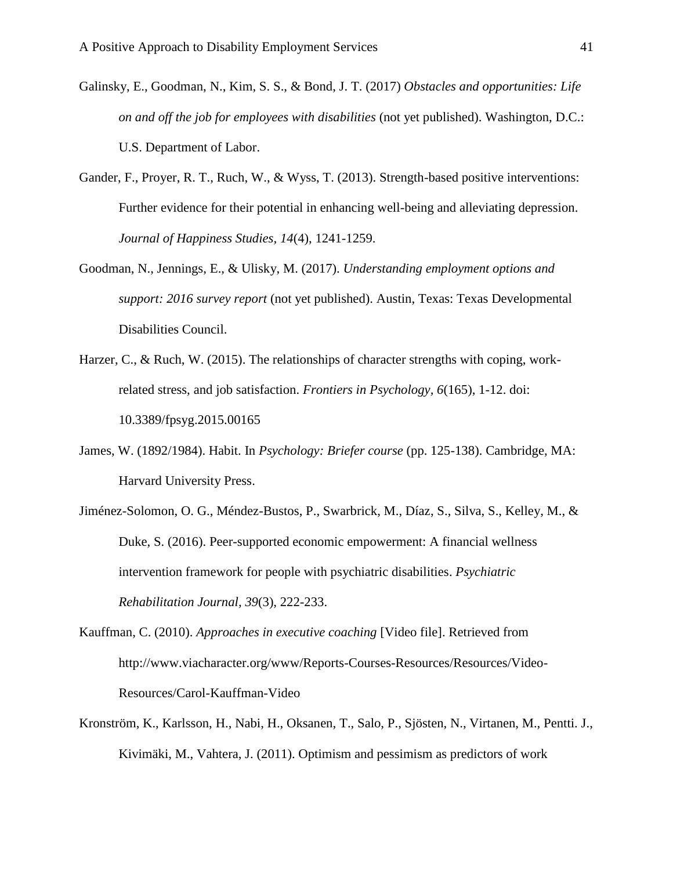- Galinsky, E., Goodman, N., Kim, S. S., & Bond, J. T. (2017) *Obstacles and opportunities: Life on and off the job for employees with disabilities* (not yet published). Washington, D.C.: U.S. Department of Labor.
- Gander, F., Proyer, R. T., Ruch, W., & Wyss, T. (2013). Strength-based positive interventions: Further evidence for their potential in enhancing well-being and alleviating depression. *Journal of Happiness Studies, 14*(4), 1241-1259.
- Goodman, N., Jennings, E., & Ulisky, M. (2017). *Understanding employment options and support: 2016 survey report* (not yet published). Austin, Texas: Texas Developmental Disabilities Council.
- Harzer, C., & Ruch, W. (2015). The relationships of character strengths with coping, workrelated stress, and job satisfaction. *Frontiers in Psychology, 6*(165), 1-12. doi: 10.3389/fpsyg.2015.00165
- James, W. (1892/1984). Habit. In *Psychology: Briefer course* (pp. 125-138). Cambridge, MA: Harvard University Press.
- Jiménez-Solomon, O. G., Méndez-Bustos, P., Swarbrick, M., Díaz, S., Silva, S., Kelley, M., & Duke, S. (2016). Peer-supported economic empowerment: A financial wellness intervention framework for people with psychiatric disabilities. *Psychiatric Rehabilitation Journal, 39*(3), 222-233.
- Kauffman, C. (2010). *Approaches in executive coaching* [Video file]. Retrieved from http://www.viacharacter.org/www/Reports-Courses-Resources/Resources/Video-Resources/Carol-Kauffman-Video
- Kronström, K., Karlsson, H., Nabi, H., Oksanen, T., Salo, P., Sjösten, N., Virtanen, M., Pentti. J., Kivimäki, M., Vahtera, J. (2011). Optimism and pessimism as predictors of work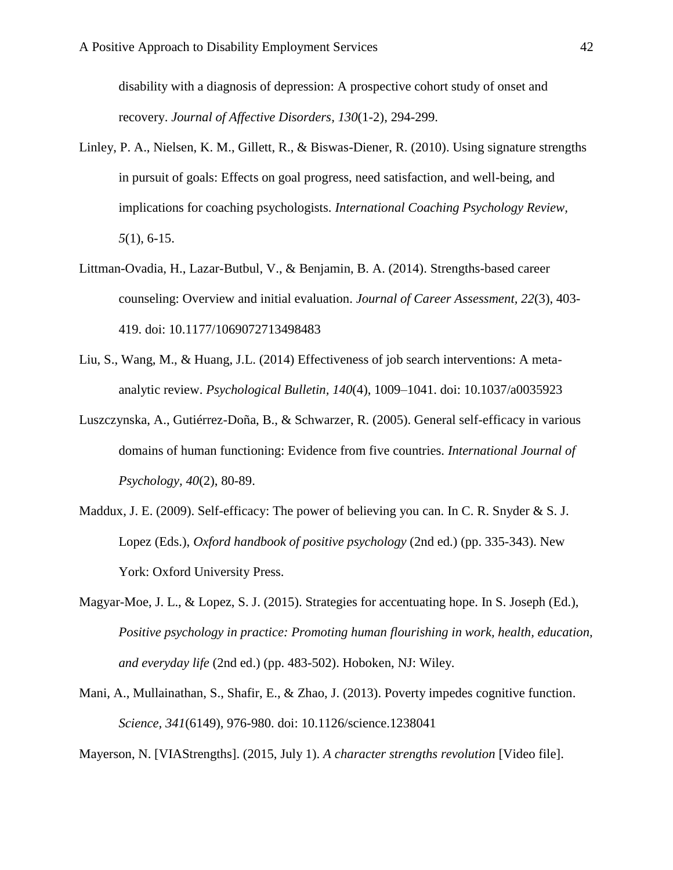disability with a diagnosis of depression: A prospective cohort study of onset and recovery. *Journal of Affective Disorders, 130*(1-2), 294-299.

- Linley, P. A., Nielsen, K. M., Gillett, R., & Biswas-Diener, R. (2010). Using signature strengths in pursuit of goals: Effects on goal progress, need satisfaction, and well-being, and implications for coaching psychologists. *International Coaching Psychology Review, 5*(1), 6-15.
- Littman-Ovadia, H., Lazar-Butbul, V., & Benjamin, B. A. (2014). Strengths-based career counseling: Overview and initial evaluation. *Journal of Career Assessment, 22*(3), 403- 419. doi: 10.1177/1069072713498483
- Liu, S., Wang, M., & Huang, J.L. (2014) Effectiveness of job search interventions: A metaanalytic review. *Psychological Bulletin, 140*(4), 1009–1041. doi: 10.1037/a0035923
- Luszczynska, A., Gutiérrez-Doña, B., & Schwarzer, R. (2005). General self-efficacy in various domains of human functioning: Evidence from five countries. *International Journal of Psychology, 40*(2), 80-89.
- Maddux, J. E. (2009). Self-efficacy: The power of believing you can. In C. R. Snyder & S. J. Lopez (Eds.), *Oxford handbook of positive psychology* (2nd ed.) (pp. 335-343). New York: Oxford University Press.
- Magyar-Moe, J. L., & Lopez, S. J. (2015). Strategies for accentuating hope. In S. Joseph (Ed.), *Positive psychology in practice: Promoting human flourishing in work, health, education, and everyday life* (2nd ed.) (pp. 483-502). Hoboken, NJ: Wiley.
- Mani, A., Mullainathan, S., Shafir, E., & Zhao, J. (2013). Poverty impedes cognitive function. *Science, 341*(6149), 976-980. doi: 10.1126/science.1238041

Mayerson, N. [VIAStrengths]. (2015, July 1). *A character strengths revolution* [Video file].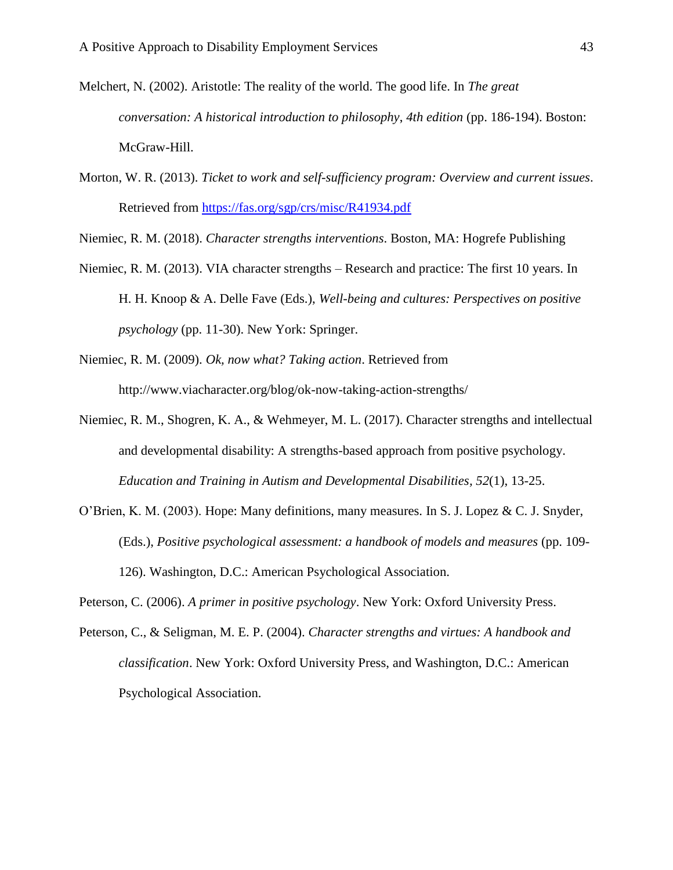- Melchert, N. (2002). Aristotle: The reality of the world. The good life. In *The great conversation: A historical introduction to philosophy*, *4th edition* (pp. 186-194). Boston: McGraw-Hill.
- Morton, W. R. (2013). *Ticket to work and self-sufficiency program: Overview and current issues*. Retrieved from<https://fas.org/sgp/crs/misc/R41934.pdf>

Niemiec, R. M. (2018). *Character strengths interventions*. Boston, MA: Hogrefe Publishing

- Niemiec, R. M. (2013). VIA character strengths Research and practice: The first 10 years. In H. H. Knoop & A. Delle Fave (Eds.), *Well-being and cultures: Perspectives on positive psychology* (pp. 11-30). New York: Springer.
- Niemiec, R. M. (2009). *Ok, now what? Taking action*. Retrieved from http://www.viacharacter.org/blog/ok-now-taking-action-strengths/
- Niemiec, R. M., Shogren, K. A., & Wehmeyer, M. L. (2017). Character strengths and intellectual and developmental disability: A strengths-based approach from positive psychology. *Education and Training in Autism and Developmental Disabilities, 52*(1), 13-25.
- O'Brien, K. M. (2003). Hope: Many definitions, many measures. In S. J. Lopez & C. J. Snyder, (Eds.), *Positive psychological assessment: a handbook of models and measures* (pp. 109- 126). Washington, D.C.: American Psychological Association.

Peterson, C. (2006). *A primer in positive psychology*. New York: Oxford University Press.

Peterson, C., & Seligman, M. E. P. (2004). *Character strengths and virtues: A handbook and classification*. New York: Oxford University Press, and Washington, D.C.: American Psychological Association.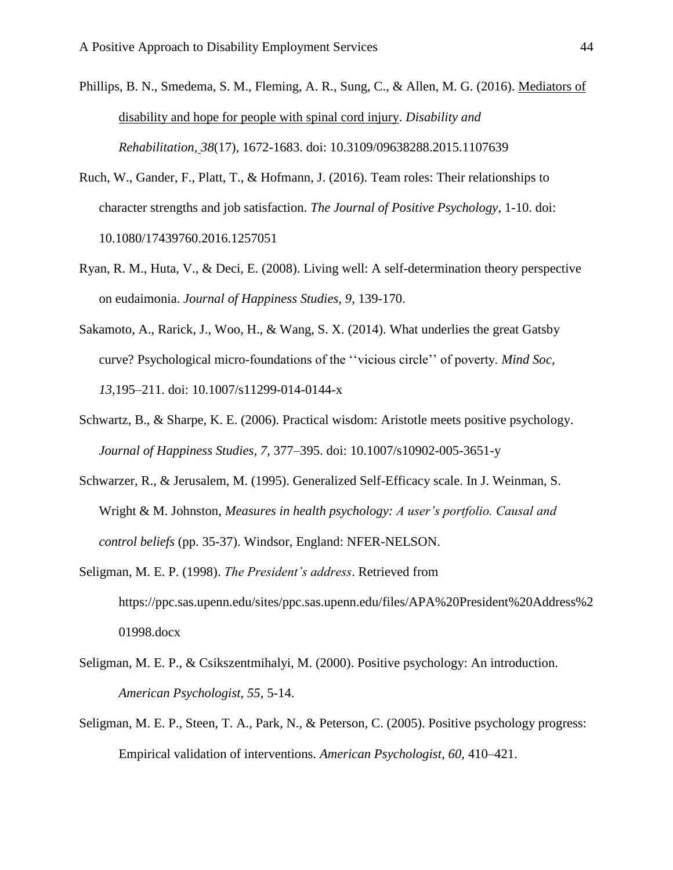- Phillips, B. N., Smedema, S. M., Fleming, A. R., Sung, C., & Allen, M. G. (2016). [Mediators of](http://www.tandfonline.com/doi/full/10.3109/09638288.2015.1107639)  [disability and hope for people with spinal cord injury.](http://www.tandfonline.com/doi/full/10.3109/09638288.2015.1107639) *[Disability and](http://www.tandfonline.com/toc/idre20/38/17)  [Rehabilitation,](http://www.tandfonline.com/toc/idre20/38/17) 38*(17), 1672-1683. doi: 10.3109/09638288.2015.1107639
- Ruch, W., Gander, F., Platt, T., & Hofmann, J. (2016). Team roles: Their relationships to character strengths and job satisfaction. *The Journal of Positive Psychology*, 1-10. doi: 10.1080/17439760.2016.1257051
- Ryan, R. M., Huta, V., & Deci, E. (2008). Living well: A self-determination theory perspective on eudaimonia. *Journal of Happiness Studies, 9*, 139-170.
- Sakamoto, A., Rarick, J., Woo, H., & Wang, S. X. (2014). What underlies the great Gatsby curve? Psychological micro-foundations of the ''vicious circle'' of poverty. *Mind Soc, 13,*195–211. doi: 10.1007/s11299-014-0144-x
- Schwartz, B., & Sharpe, K. E. (2006). Practical wisdom: Aristotle meets positive psychology. *Journal of Happiness Studies, 7*, 377–395. doi: 10.1007/s10902-005-3651-y
- Schwarzer, R., & Jerusalem, M. (1995). Generalized Self-Efficacy scale. In J. Weinman, S. Wright & M. Johnston, *Measures in health psychology: A user's portfolio. Causal and control beliefs* (pp. 35-37). Windsor, England: NFER-NELSON.
- Seligman, M. E. P. (1998). *The President's address*. Retrieved from https://ppc.sas.upenn.edu/sites/ppc.sas.upenn.edu/files/APA%20President%20Address%2 01998.docx
- Seligman, M. E. P., & Csikszentmihalyi, M. (2000). Positive psychology: An introduction. *American Psychologist, 55*, 5-14.
- Seligman, M. E. P., Steen, T. A., Park, N., & Peterson, C. (2005). Positive psychology progress: Empirical validation of interventions. *American Psychologist*, *60*, 410–421.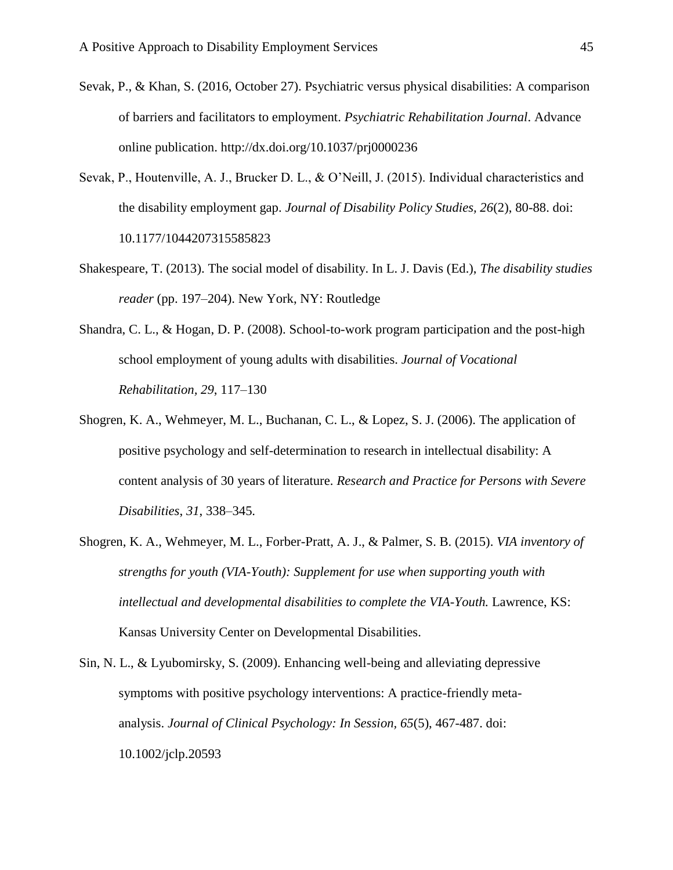- Sevak, P., & Khan, S. (2016, October 27). Psychiatric versus physical disabilities: A comparison of barriers and facilitators to employment. *Psychiatric Rehabilitation Journal*. Advance online publication. http://dx.doi.org/10.1037/prj0000236
- Sevak, P., Houtenville, A. J., Brucker D. L., & O'Neill, J. (2015). Individual characteristics and the disability employment gap. *Journal of Disability Policy Studies, 26*(2), 80-88. doi: 10.1177/1044207315585823
- Shakespeare, T. (2013). The social model of disability. In L. J. Davis (Ed.), *The disability studies reader* (pp. 197–204). New York, NY: Routledge
- Shandra, C. L., & Hogan, D. P. (2008). School-to-work program participation and the post-high school employment of young adults with disabilities. *Journal of Vocational Rehabilitation, 29*, 117–130
- Shogren, K. A., Wehmeyer, M. L., Buchanan, C. L., & Lopez, S. J. (2006). The application of positive psychology and self-determination to research in intellectual disability: A content analysis of 30 years of literature. *Research and Practice for Persons with Severe Disabilities*, *31*, 338–345.
- Shogren, K. A., Wehmeyer, M. L., Forber-Pratt, A. J., & Palmer, S. B. (2015). *VIA inventory of strengths for youth (VIA-Youth): Supplement for use when supporting youth with intellectual and developmental disabilities to complete the VIA-Youth.* Lawrence, KS: Kansas University Center on Developmental Disabilities.
- Sin, N. L., & Lyubomirsky, S. (2009). Enhancing well-being and alleviating depressive symptoms with positive psychology interventions: A practice-friendly metaanalysis. *Journal of Clinical Psychology: In Session, 65*(5), 467-487. doi: 10.1002/jclp.20593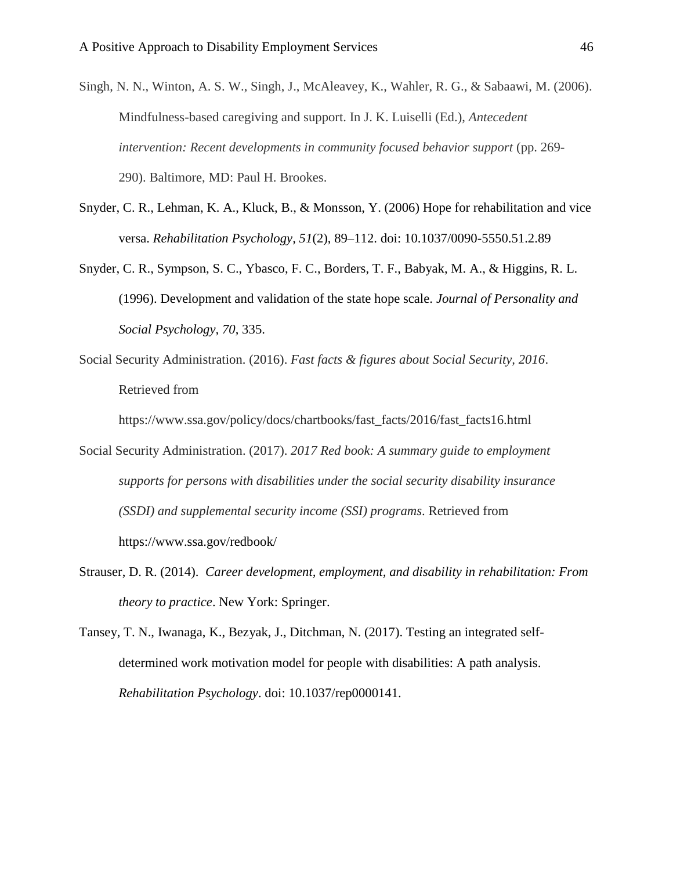- Singh, N. N., Winton, A. S. W., Singh, J., McAleavey, K., Wahler, R. G., & Sabaawi, M. (2006). Mindfulness-based caregiving and support. In J. K. Luiselli (Ed.), *Antecedent intervention: Recent developments in community focused behavior support* (pp. 269- 290). Baltimore, MD: Paul H. Brookes.
- Snyder, C. R., Lehman, K. A., Kluck, B., & Monsson, Y. (2006) Hope for rehabilitation and vice versa. *Rehabilitation Psychology, 51*(2), 89–112. doi: 10.1037/0090-5550.51.2.89
- Snyder, C. R., Sympson, S. C., Ybasco, F. C., Borders, T. F., Babyak, M. A., & Higgins, R. L. (1996). Development and validation of the state hope scale. *Journal of Personality and Social Psychology, 70*, 335.
- Social Security Administration. (2016). *Fast facts & figures about Social Security, 2016*. Retrieved from

https://www.ssa.gov/policy/docs/chartbooks/fast\_facts/2016/fast\_facts16.html

- Social Security Administration. (2017). *2017 Red book: A summary guide to employment supports for persons with disabilities under the social security disability insurance (SSDI) and supplemental security income (SSI) programs*. Retrieved from <https://www.ssa.gov/redbook/>
- Strauser, D. R. (2014). *Career development, employment, and disability in rehabilitation: From theory to practice*. New York: Springer.
- Tansey, T. N., Iwanaga, K., Bezyak, J., Ditchman, N. (2017). Testing an integrated selfdetermined work motivation model for people with disabilities: A path analysis. *Rehabilitation Psychology*. doi: 10.1037/rep0000141.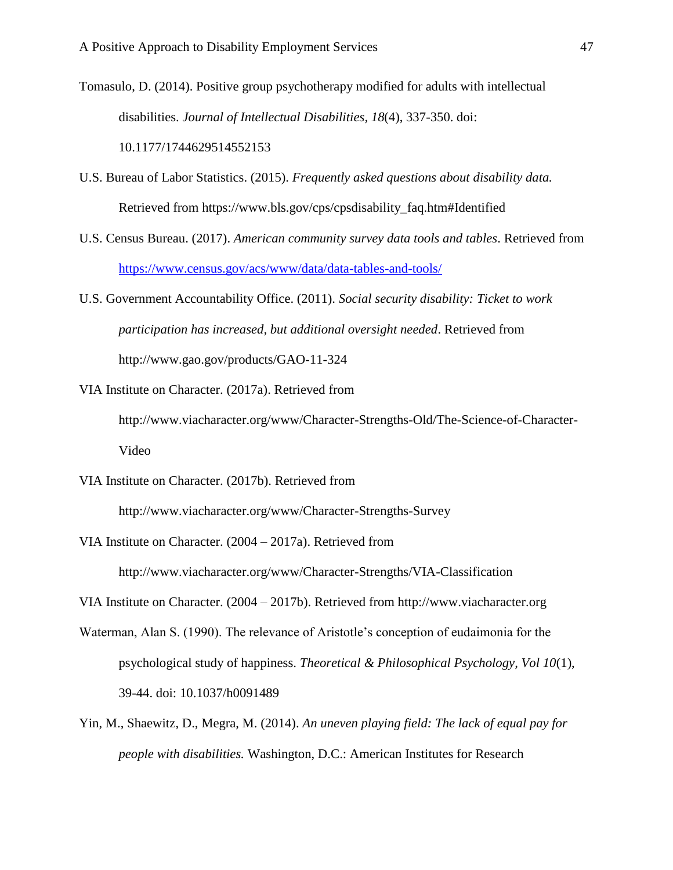Tomasulo, D. (2014). Positive group psychotherapy modified for adults with intellectual disabilities. *Journal of Intellectual Disabilities, 18*(4), 337-350. doi: 10.1177/1744629514552153

- U.S. Bureau of Labor Statistics. (2015). *Frequently asked questions about disability data.* Retrieved from [https://www.bls.gov/cps/cpsdisability\\_faq.htm#Identified](https://www.bls.gov/cps/cpsdisability_faq.htm#Identified)
- U.S. Census Bureau. (2017). *American community survey data tools and tables*. Retrieved from <https://www.census.gov/acs/www/data/data-tables-and-tools/>
- U.S. Government Accountability Office. (2011). *Social security disability: Ticket to work participation has increased, but additional oversight needed*. Retrieved from <http://www.gao.gov/products/GAO-11-324>
- VIA Institute on Character. (2017a). Retrieved from

http://www.viacharacter.org/www/Character-Strengths-Old/The-Science-of-Character-Video

VIA Institute on Character. (2017b). Retrieved from

http://www.viacharacter.org/www/Character-Strengths-Survey

VIA Institute on Character. (2004 – 2017a). Retrieved from

http://www.viacharacter.org/www/Character-Strengths/VIA-Classification

VIA Institute on Character. (2004 – 2017b). Retrieved from http://www.viacharacter.org

- Waterman, Alan S. (1990). The relevance of Aristotle's conception of eudaimonia for the psychological study of happiness. *Theoretical & Philosophical Psychology, Vol 10*(1), 39-44. doi: 10.1037/h0091489
- Yin, M., Shaewitz, D., Megra, M. (2014). *An uneven playing field: The lack of equal pay for people with disabilities.* Washington, D.C.: American Institutes for Research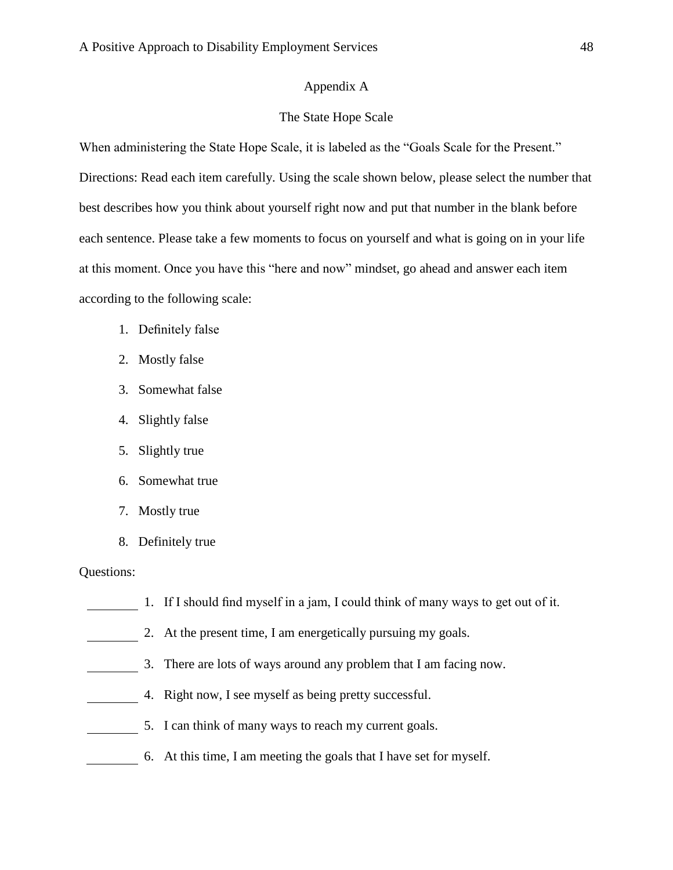## Appendix A

### The State Hope Scale

When administering the State Hope Scale, it is labeled as the "Goals Scale for the Present." Directions: Read each item carefully. Using the scale shown below, please select the number that best describes how you think about yourself right now and put that number in the blank before each sentence. Please take a few moments to focus on yourself and what is going on in your life at this moment. Once you have this "here and now" mindset, go ahead and answer each item according to the following scale:

- 1. Definitely false
- 2. Mostly false
- 3. Somewhat false
- 4. Slightly false
- 5. Slightly true
- 6. Somewhat true
- 7. Mostly true
- 8. Definitely true

#### Questions:

- 1. If I should find myself in a jam, I could think of many ways to get out of it.
- 2. At the present time, I am energetically pursuing my goals.
- 3. There are lots of ways around any problem that I am facing now.
- 4. Right now, I see myself as being pretty successful.
- 5. I can think of many ways to reach my current goals.
- 6. At this time, I am meeting the goals that I have set for myself.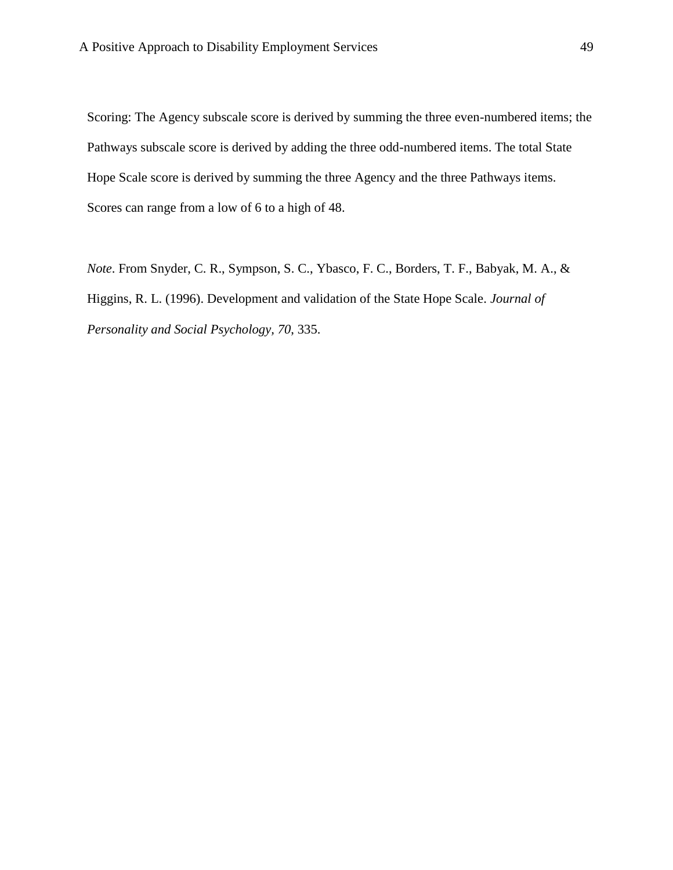Scoring: The Agency subscale score is derived by summing the three even-numbered items; the Pathways subscale score is derived by adding the three odd-numbered items. The total State Hope Scale score is derived by summing the three Agency and the three Pathways items. Scores can range from a low of 6 to a high of 48.

*Note*. From Snyder, C. R., Sympson, S. C., Ybasco, F. C., Borders, T. F., Babyak, M. A., & Higgins, R. L. (1996). Development and validation of the State Hope Scale. *Journal of Personality and Social Psychology, 70*, 335.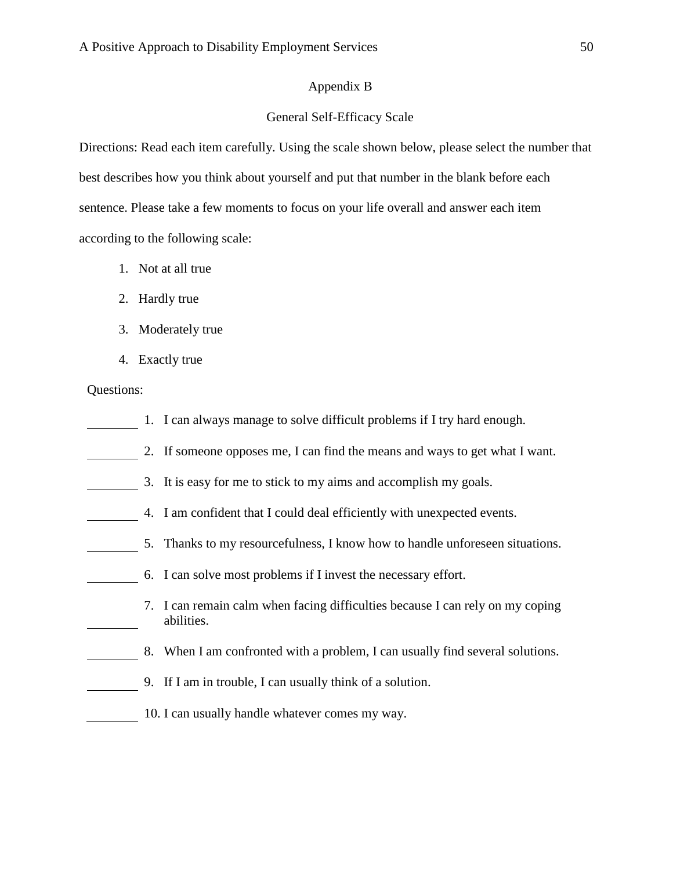## Appendix B

#### General Self-Efficacy Scale

Directions: Read each item carefully. Using the scale shown below, please select the number that best describes how you think about yourself and put that number in the blank before each sentence. Please take a few moments to focus on your life overall and answer each item according to the following scale:

- 1. Not at all true
- 2. Hardly true
- 3. Moderately true
- 4. Exactly true

### Questions:

- 1. I can always manage to solve difficult problems if I try hard enough.
- 2. If someone opposes me, I can find the means and ways to get what I want.
- 3. It is easy for me to stick to my aims and accomplish my goals.
- 4. I am confident that I could deal efficiently with unexpected events.
- 5. Thanks to my resourcefulness, I know how to handle unforeseen situations.
- 6. I can solve most problems if I invest the necessary effort.
	- 7. I can remain calm when facing difficulties because I can rely on my coping abilities.
- 8. When I am confronted with a problem, I can usually find several solutions.
- 9. If I am in trouble, I can usually think of a solution.
- 10. I can usually handle whatever comes my way.